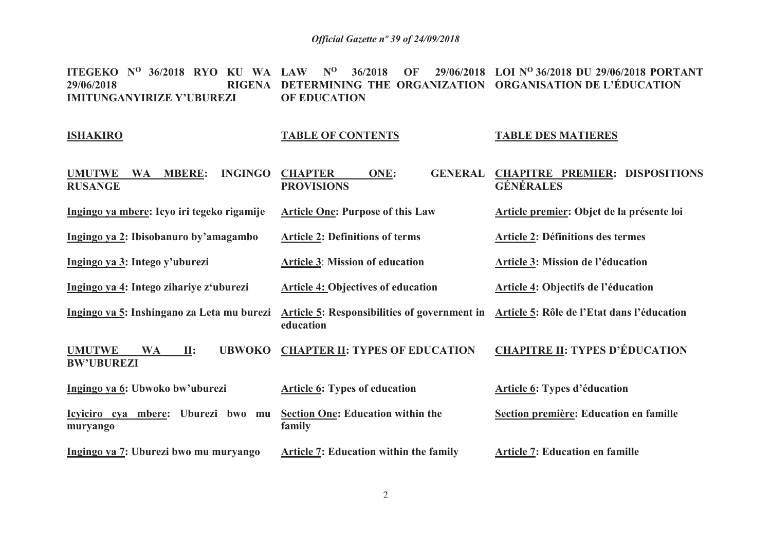**ITEGEKO N<sup>O</sup>36/2018 RYO KU WA LAW N<sup>O</sup>36/2018 OF 29/06/2018 LOI N<sup>O</sup>36/2018 DU 29/06/2018 PORTANT RIGENA DETERMINING THE ORGANIZATION ORGANISATION DE L'ÉDUCATION 29/06/2018IMITUNGANYIRIZE Y'UBUREZI OF EDUCATION**

#### **ISHAKIRO**

# **TABLE OF CONTENTS**

#### **TABLE DES MATIERES**

| <b>UMUTWE</b><br><b>MBERE:</b><br><b>INGINGO</b><br><b>WA</b><br><b>RUSANGE</b>     | <b>CHAPTER</b><br>ONE:<br><b>GENERAL</b><br><b>PROVISIONS</b>                                        | <b>CHAPITRE PREMIER: DISPOSITIONS</b><br><b>GÉNÉRALES</b> |
|-------------------------------------------------------------------------------------|------------------------------------------------------------------------------------------------------|-----------------------------------------------------------|
| Ingingo ya mbere: Icyo iri tegeko rigamije                                          | <b>Article One: Purpose of this Law</b>                                                              | Article premier: Objet de la présente loi                 |
| Ingingo ya 2: Ibisobanuro by'amagambo                                               | <b>Article 2: Definitions of terms</b>                                                               | <b>Article 2: Définitions des termes</b>                  |
| Ingingo ya 3: Intego y'uburezi                                                      | <b>Article 3: Mission of education</b>                                                               | Article 3: Mission de l'éducation                         |
| Ingingo ya 4: Intego zihariye z'uburezi                                             | <b>Article 4: Objectives of education</b>                                                            | Article 4: Objectifs de l'éducation                       |
| Ingingo ya 5: Inshingano za Leta mu burezi                                          | Article 5: Responsibilities of government in Article 5: Rôle de l'Etat dans l'éducation<br>education |                                                           |
| <b>UBWOKO</b><br><b>UMUTWE</b><br><b>WA</b><br>$\mathbf{II}$ :<br><b>BW'UBUREZI</b> | <b>CHAPTER II: TYPES OF EDUCATION</b>                                                                | <b>CHAPITRE II: TYPES D'ÉDUCATION</b>                     |
| Ingingo ya 6: Ubwoko bw'uburezi                                                     | <b>Article 6: Types of education</b>                                                                 | <b>Article 6: Types d'éducation</b>                       |
| Icyiciro cya mbere:<br>Uburezi bwo mu<br>muryango                                   | <b>Section One: Education within the</b><br>family                                                   | Section première: Education en famille                    |
| Ingingo ya 7: Uburezi bwo mu muryango                                               | <b>Article 7: Education within the family</b>                                                        | <b>Article 7: Education en famille</b>                    |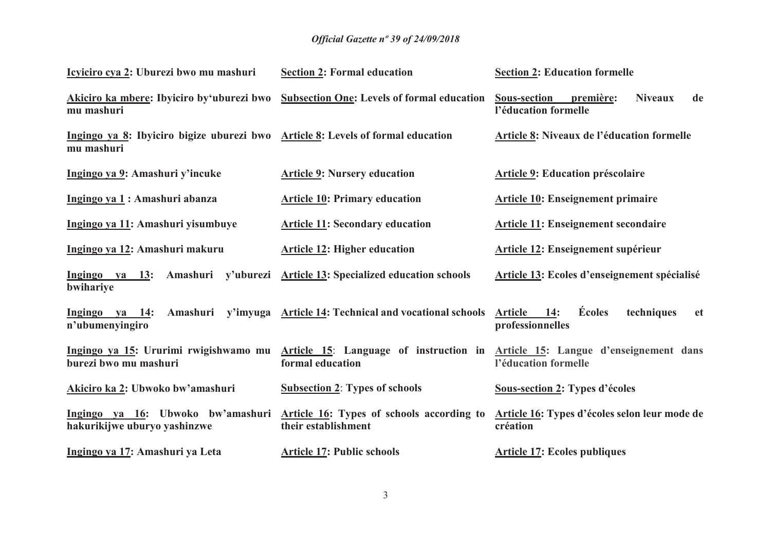| Icyiciro cya 2: Uburezi bwo mu mashuri                                                        | <b>Section 2: Formal education</b>                               | <b>Section 2: Education formelle</b>                                                                                                        |
|-----------------------------------------------------------------------------------------------|------------------------------------------------------------------|---------------------------------------------------------------------------------------------------------------------------------------------|
| Akiciro ka mbere: Ibyiciro by'uburezi bwo<br>mu mashuri                                       | <b>Subsection One: Levels of formal education</b>                | <b>Sous-section</b><br><b>Niveaux</b><br>de<br>première:<br>l'éducation formelle                                                            |
| Ingingo ya 8: Ibyiciro bigize uburezi bwo Article 8: Levels of formal education<br>mu mashuri |                                                                  | Article 8: Niveaux de l'éducation formelle                                                                                                  |
| Ingingo ya 9: Amashuri y'incuke                                                               | <b>Article 9: Nursery education</b>                              | <b>Article 9: Education préscolaire</b>                                                                                                     |
| Ingingo ya 1: Amashuri abanza                                                                 | <b>Article 10: Primary education</b>                             | <b>Article 10: Enseignement primaire</b>                                                                                                    |
| Ingingo ya 11: Amashuri yisumbuye                                                             | <b>Article 11: Secondary education</b>                           | <b>Article 11: Enseignement secondaire</b>                                                                                                  |
| Ingingo ya 12: Amashuri makuru                                                                | <b>Article 12: Higher education</b>                              | <b>Article 12: Enseignement supérieur</b>                                                                                                   |
| Ingingo ya 13:<br>bwihariye                                                                   | Amashuri y'uburezi Article 13: Specialized education schools     | Article 13: Ecoles d'enseignement spécialisé                                                                                                |
| Ingingo ya 14:<br>Amashuri<br>n'ubumenyingiro                                                 | y'imyuga Article 14: Technical and vocational schools            | Écoles<br><b>Article</b><br>techniques<br>14:<br><b>et</b><br>professionnelles                                                              |
| burezi bwo mu mashuri                                                                         | formal education                                                 | Ingingo ya 15: Ururimi rwigishwamo mu Article 15: Language of instruction in Article 15: Langue d'enseignement dans<br>l'éducation formelle |
| Akiciro ka 2: Ubwoko bw'amashuri                                                              | <b>Subsection 2: Types of schools</b>                            | <b>Sous-section 2: Types d'écoles</b>                                                                                                       |
| Ingingo ya 16: Ubwoko bw'amashuri<br>hakurikijwe uburyo yashinzwe                             | Article 16: Types of schools according to<br>their establishment | Article 16: Types d'écoles selon leur mode de<br>création                                                                                   |
| Ingingo ya 17: Amashuri ya Leta                                                               | <b>Article 17: Public schools</b>                                | <b>Article 17: Ecoles publiques</b>                                                                                                         |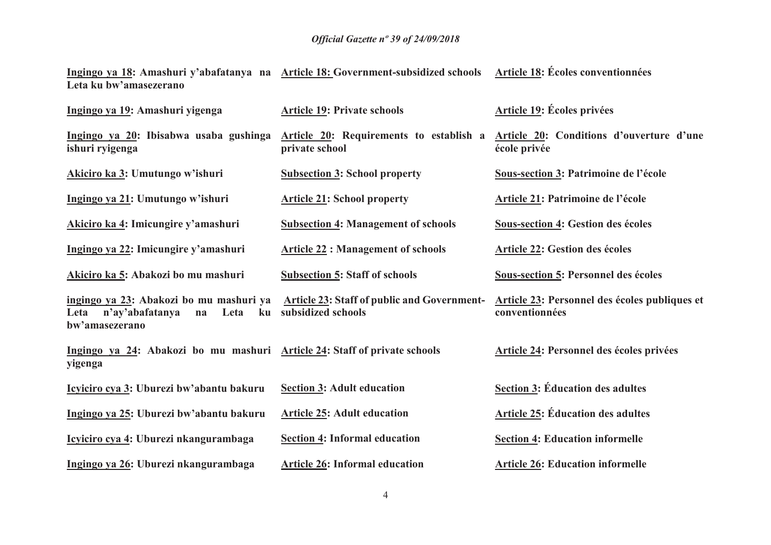**Ingingo ya 18: Amashuri y'abafatanya na Leta ku bw'amasezerano Article 18: Government-subsidized schools Article 18: Écoles conventionnées** 

| Ingingo ya 19: Amashuri yigenga                                                                          | <b>Article 19: Private schools</b>                                       | <b>Article 19: Écoles privées</b>                               |
|----------------------------------------------------------------------------------------------------------|--------------------------------------------------------------------------|-----------------------------------------------------------------|
| Ingingo ya 20: Ibisabwa usaba gushinga<br>ishuri ryigenga                                                | Article 20: Requirements to establish a<br>private school                | Article 20: Conditions d'ouverture d'une<br>école privée        |
| Akiciro ka 3: Umutungo w'ishuri                                                                          | <b>Subsection 3: School property</b>                                     | Sous-section 3: Patrimoine de l'école                           |
| Ingingo ya 21: Umutungo w'ishuri                                                                         | <b>Article 21: School property</b>                                       | Article 21: Patrimoine de l'école                               |
| Akiciro ka 4: Imicungire y'amashuri                                                                      | <b>Subsection 4: Management of schools</b>                               | <b>Sous-section 4: Gestion des écoles</b>                       |
| Ingingo ya 22: Imicungire y'amashuri                                                                     | <b>Article 22 : Management of schools</b>                                | <b>Article 22: Gestion des écoles</b>                           |
| Akiciro ka 5: Abakozi bo mu mashuri                                                                      | <b>Subsection 5: Staff of schools</b>                                    | <b>Sous-section 5: Personnel des écoles</b>                     |
| ingingo ya 23: Abakozi bo mu mashuri ya<br>Leta<br>n'ay'abafatanya<br>Leta<br>na<br>ku<br>bw'amasezerano | <b>Article 23: Staff of public and Government-</b><br>subsidized schools | Article 23: Personnel des écoles publiques et<br>conventionnées |
| Ingingo ya 24: Abakozi bo mu mashuri Article 24: Staff of private schools<br>yigenga                     |                                                                          | <b>Article 24: Personnel des écoles privées</b>                 |
| Icyiciro cya 3: Uburezi bw'abantu bakuru                                                                 | <b>Section 3: Adult education</b>                                        | <b>Section 3: Éducation des adultes</b>                         |
| Ingingo ya 25: Uburezi bw'abantu bakuru                                                                  | <b>Article 25: Adult education</b>                                       | <b>Article 25: Éducation des adultes</b>                        |
| Icyiciro cya 4: Uburezi nkangurambaga                                                                    | <b>Section 4: Informal education</b>                                     | <b>Section 4: Education informelle</b>                          |
| Ingingo ya 26: Uburezi nkangurambaga                                                                     | <b>Article 26: Informal education</b>                                    | <b>Article 26: Education informelle</b>                         |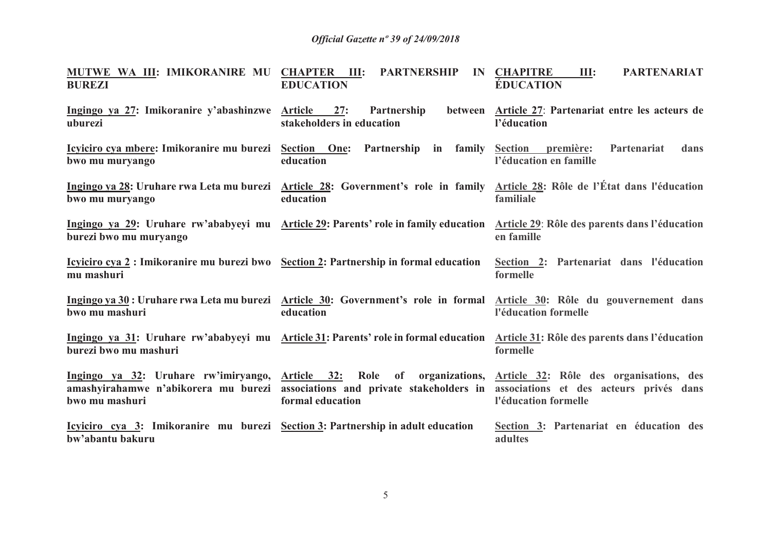| MUTWE WA III: IMIKORANIRE MU CHAPTER III: PARTNERSHIP<br><b>BUREZI</b>                                      | <b>EDUCATION</b>                                     | <b>PARTENARIAT</b><br><b>IN CHAPITRE</b><br>III:<br><b>ÉDUCATION</b>                                                                                                                                                                                             |
|-------------------------------------------------------------------------------------------------------------|------------------------------------------------------|------------------------------------------------------------------------------------------------------------------------------------------------------------------------------------------------------------------------------------------------------------------|
| Ingingo ya 27: Imikoranire y'abashinzwe Article 27: Partnership<br>uburezi                                  | stakeholders in education                            | between Article 27: Partenariat entre les acteurs de<br>l'éducation                                                                                                                                                                                              |
| <u>Icyiciro cya mbere:</u> Imikoranire mu burezi Section One:<br>bwo mu muryango                            | Partnership in family Section première:<br>education | dans<br>Partenariat<br>l'éducation en famille                                                                                                                                                                                                                    |
| bwo mu muryango                                                                                             | education                                            | Ingingo ya 28: Uruhare rwa Leta mu burezi Article 28: Government's role in family Article 28: Rôle de l'État dans l'éducation<br>familiale                                                                                                                       |
| burezi bwo mu muryango                                                                                      |                                                      | Ingingo ya 29: Uruhare rw'ababyeyi mu Article 29: Parents' role in family education Article 29: Rôle des parents dans l'éducation<br>en famille                                                                                                                  |
| <u>Icyliciro cya 2</u> : Imikoranire mu burezi bwo Section 2: Partnership in formal education<br>mu mashuri |                                                      | Section 2: Partenariat dans l'éducation<br>formelle                                                                                                                                                                                                              |
| bwo mu mashuri                                                                                              | education                                            | Ingingo ya 30: Uruhare rwa Leta mu burezi Article 30: Government's role in formal Article 30: Rôle du gouvernement dans<br>l'éducation formelle                                                                                                                  |
| burezi bwo mu mashuri                                                                                       |                                                      | Ingingo ya 31: Uruhare rw'ababyeyi mu Article 31: Parents' role in formal education Article 31: Rôle des parents dans l'éducation<br>formelle                                                                                                                    |
| bwo mu mashuri                                                                                              | formal education                                     | Ingingo ya 32: Uruhare rw'imiryango, Article 32: Role of organizations, Article 32: Rôle des organisations, des<br>amashyirahamwe n'abikorera mu burezi associations and private stakeholders in associations et des acteurs privés dans<br>l'éducation formelle |
| Icyiciro cya 3: Imikoranire mu burezi Section 3: Partnership in adult education<br>bw'abantu bakuru         |                                                      | Section 3: Partenariat en éducation des<br>adultes                                                                                                                                                                                                               |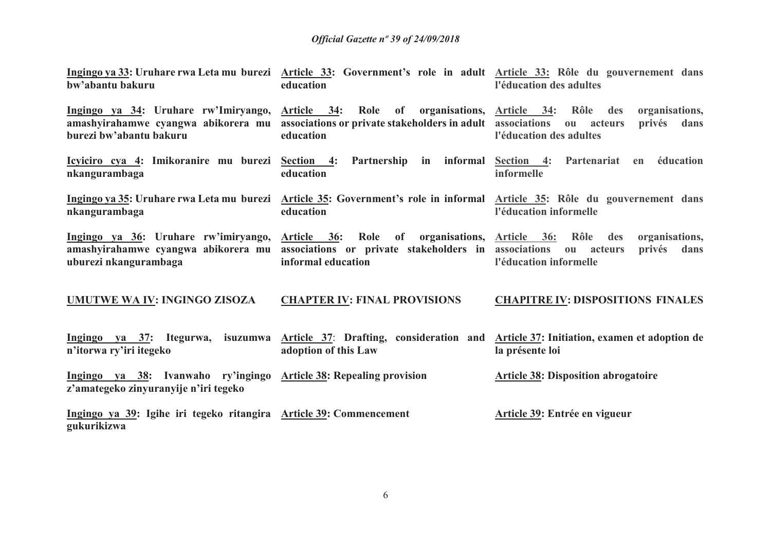| bw'abantu bakuru                                                                                            | education                                                                                                                      | Ingingo ya 33: Uruhare rwa Leta mu burezi Article 33: Government's role in adult Article 33: Rôle du gouvernement dans<br>l'éducation des adultes   |
|-------------------------------------------------------------------------------------------------------------|--------------------------------------------------------------------------------------------------------------------------------|-----------------------------------------------------------------------------------------------------------------------------------------------------|
| Ingingo ya 34: Uruhare rw'Imiryango,<br>amashyirahamwe cyangwa abikorera mu<br>burezi bw'abantu bakuru      | Article 34: Role of organisations, Article 34: Rôle<br>associations or private stakeholders in adult associations<br>education | organisations,<br>des<br>privés<br>acteurs<br>dans<br>ou<br>l'éducation des adultes                                                                 |
| nkangurambaga                                                                                               | education                                                                                                                      | Icyiciro cya 4: Imikoranire mu burezi Section 4: Partnership in informal Section 4: Partenariat en éducation<br>informelle                          |
| nkangurambaga                                                                                               | education                                                                                                                      | Ingingo ya 35: Uruhare rwa Leta mu burezi Article 35: Government's role in informal Article 35: Rôle du gouvernement dans<br>l'éducation informelle |
| Ingingo ya 36: Uruhare rw'imiryango,<br>amashyirahamwe cyangwa abikorera mu<br>uburezi nkangurambaga        | Article 36: Role of organisations, Article 36:<br>associations or private stakeholders in associations<br>informal education   | Rôle<br>organisations,<br>des<br>privés<br>dans<br>$\mathbf{0}\mathbf{u}$<br>acteurs<br>l'éducation informelle                                      |
| UMUTWE WA IV: INGINGO ZISOZA                                                                                | <b>CHAPTER IV: FINAL PROVISIONS</b>                                                                                            | <b>CHAPITRE IV: DISPOSITIONS FINALES</b>                                                                                                            |
| Ingingo ya 37: Itegurwa,<br>n'itorwa ry'iri itegeko                                                         | isuzumwa Article 37: Drafting, consideration and<br>adoption of this Law                                                       | Article 37: Initiation, examen et adoption de<br>la présente loi                                                                                    |
| Ingingo ya 38: Ivanwaho ry'ingingo Article 38: Repealing provision<br>z'amategeko zinyuranyije n'iri tegeko |                                                                                                                                | <b>Article 38: Disposition abrogatoire</b>                                                                                                          |
| Ingingo ya 39: Igihe iri tegeko ritangira Article 39: Commencement<br>gukurikizwa                           |                                                                                                                                | Article 39: Entrée en vigueur                                                                                                                       |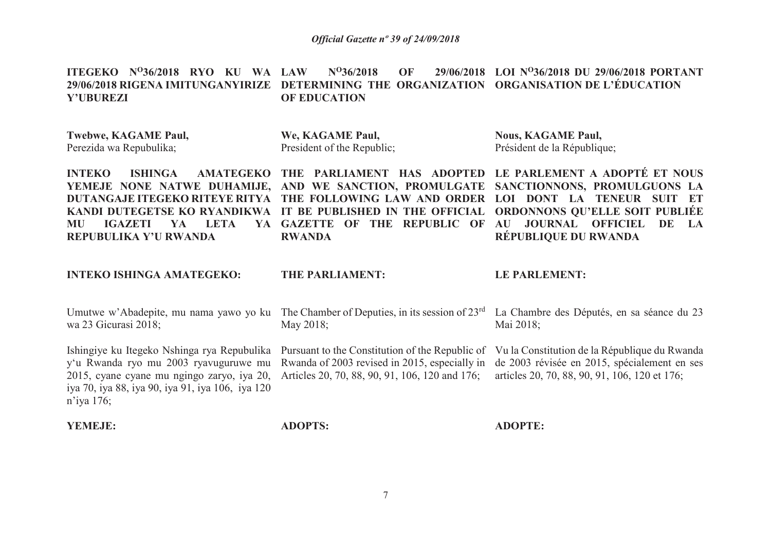**ITEGEKO N<sup>O</sup>36/2018 RYO KU WA LAW N<sup>O</sup>36/2018 OF 29/06/2018 LOI N<sup>O</sup>36/2018 DU 29/06/2018 PORTANT 29/06/2018 RIGENA IMITUNGANYIRIZE DETERMINING THE ORGANIZATION ORGANISATION DE L'ÉDUCATIONY'UBUREZI OF EDUCATION**

| <b>Twebwe, KAGAME Paul,</b><br>Perezida wa Repubulika;                                                                                                                                                     | We, KAGAME Paul,<br>President of the Republic;                                                                                                                                                                          | <b>Nous, KAGAME Paul,</b><br>Président de la République;                                                                                                                                                              |
|------------------------------------------------------------------------------------------------------------------------------------------------------------------------------------------------------------|-------------------------------------------------------------------------------------------------------------------------------------------------------------------------------------------------------------------------|-----------------------------------------------------------------------------------------------------------------------------------------------------------------------------------------------------------------------|
| <b>INTEKO</b><br><b>ISHINGA</b><br><b>AMATEGEKO</b><br><b>DUTANGAJE ITEGEKO RITEYE RITYA</b><br>KANDI DUTEGETSE KO RYANDIKWA<br><b>LETA</b><br><b>IGAZETI</b><br>MU<br>YA.<br>YA.<br>REPUBULIKA Y'U RWANDA | PARLIAMENT HAS ADOPTED<br><b>THE</b><br>YEMEJE NONE NATWE DUHAMIJE, AND WE SANCTION, PROMULGATE<br>THE FOLLOWING LAW AND ORDER<br>IT BE PUBLISHED IN THE OFFICIAL<br><b>GAZETTE OF THE REPUBLIC OF</b><br><b>RWANDA</b> | LE PARLEMENT A ADOPTÉ ET NOUS<br>SANCTIONNONS, PROMULGUONS LA<br>LOI DONT LA TENEUR<br><b>SUIT ET</b><br><b>ORDONNONS QU'ELLE SOIT PUBLIÉE</b><br><b>JOURNAL OFFICIEL</b><br>AU<br>DE<br>- LA<br>RÉPUBLIQUE DU RWANDA |
| <b>INTEKO ISHINGA AMATEGEKO:</b>                                                                                                                                                                           | <b>THE PARLIAMENT:</b>                                                                                                                                                                                                  | <b>LE PARLEMENT:</b>                                                                                                                                                                                                  |
| Umutwe w'Abadepite, mu nama yawo yo ku<br>wa 23 Gicurasi 2018;                                                                                                                                             | The Chamber of Deputies, in its session of $23rd$<br>May 2018;                                                                                                                                                          | La Chambre des Députés, en sa séance du 23<br>Mai 2018;                                                                                                                                                               |
| Ishingiye ku Itegeko Nshinga rya Repubulika<br>y'u Rwanda ryo mu 2003 ryavuguruwe mu<br>2015, cyane cyane mu ngingo zaryo, iya 20,<br>iya 70, iya 88, iya 90, iya 91, iya 106, iya 120<br>$n'$ iya 176;    | Pursuant to the Constitution of the Republic of<br>Rwanda of 2003 revised in 2015, especially in<br>Articles 20, 70, 88, 90, 91, 106, 120 and 176;                                                                      | Vu la Constitution de la République du Rwanda<br>de 2003 révisée en 2015, spécialement en ses<br>articles 20, 70, 88, 90, 91, 106, 120 et 176;                                                                        |
| <b>YEMEJE:</b>                                                                                                                                                                                             | <b>ADOPTS:</b>                                                                                                                                                                                                          | <b>ADOPTE:</b>                                                                                                                                                                                                        |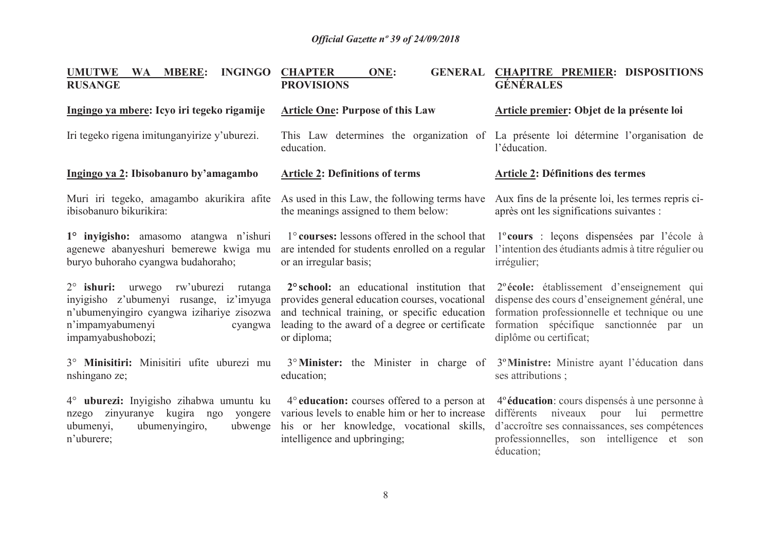| <b>UMUTWE</b><br><b>INGINGO</b><br>WA MBERE:<br><b>RUSANGE</b>                                                                                                                      | <b>CHAPTER</b><br><b>ONE:</b><br><b>PROVISIONS</b>                                                                                                                                                              | GENERAL CHAPITRE PREMIER: DISPOSITIONS<br><b>GÉNÉRALES</b>                                                                                                                                                                     |
|-------------------------------------------------------------------------------------------------------------------------------------------------------------------------------------|-----------------------------------------------------------------------------------------------------------------------------------------------------------------------------------------------------------------|--------------------------------------------------------------------------------------------------------------------------------------------------------------------------------------------------------------------------------|
| Ingingo ya mbere: Icyo iri tegeko rigamije                                                                                                                                          | <b>Article One: Purpose of this Law</b>                                                                                                                                                                         | Article premier: Objet de la présente loi                                                                                                                                                                                      |
| Iri tegeko rigena imitunganyirize y'uburezi.                                                                                                                                        | education.                                                                                                                                                                                                      | This Law determines the organization of La présente loi détermine l'organisation de<br>l'éducation.                                                                                                                            |
| Ingingo ya 2: Ibisobanuro by'amagambo                                                                                                                                               | <b>Article 2: Definitions of terms</b>                                                                                                                                                                          | <b>Article 2: Définitions des termes</b>                                                                                                                                                                                       |
| ibisobanuro bikurikira:                                                                                                                                                             | Muri iri tegeko, amagambo akurikira afite As used in this Law, the following terms have<br>the meanings assigned to them below:                                                                                 | Aux fins de la présente loi, les termes repris ci-<br>après ont les significations suivantes :                                                                                                                                 |
| 1° inyigisho: amasomo atangwa n'ishuri<br>agenewe abanyeshuri bemerewe kwiga mu<br>buryo buhoraho cyangwa budahoraho;                                                               | 1° courses: lessons offered in the school that<br>are intended for students enrolled on a regular<br>or an irregular basis;                                                                                     | l <sup>o</sup> cours : leçons dispensées par l'école à<br>l'intention des étudiants admis à titre régulier ou<br>irrégulier;                                                                                                   |
| 2° ishuri: urwego rw'uburezi<br>rutanga<br>inyigisho z'ubumenyi rusange, iz'imyuga<br>n'ubumenyingiro cyangwa izihariye zisozwa<br>n'impamyabumenyi<br>cyangwa<br>impamyabushobozi; | 2° school: an educational institution that<br>provides general education courses, vocational<br>and technical training, or specific education<br>leading to the award of a degree or certificate<br>or diploma; | 2 <sup>°</sup> école: établissement d'enseignement qui<br>dispense des cours d'enseignement général, une<br>formation professionnelle et technique ou une<br>formation spécifique sanctionnée par un<br>diplôme ou certificat; |
| 3° Minisitiri: Minisitiri ufite uburezi mu<br>nshingano ze;                                                                                                                         | 3° Minister: the Minister in charge of<br>education;                                                                                                                                                            | 3º Ministre: Ministre ayant l'éducation dans<br>ses attributions;                                                                                                                                                              |
| 4° uburezi: Inyigisho zihabwa umuntu ku<br>zinyuranye kugira ngo<br>nzego<br>yongere<br>ubumenyingiro,<br>ubumenyi,<br>ubwenge<br>n'uburere;                                        | 4° education: courses offered to a person at<br>various levels to enable him or her to increase<br>his or her knowledge, vocational skills,<br>intelligence and upbringing;                                     | 4 <sup>°</sup> éducation: cours dispensés à une personne à<br>différents niveaux pour lui permettre<br>d'accroître ses connaissances, ses compétences<br>professionnelles, son intelligence et son<br>éducation;               |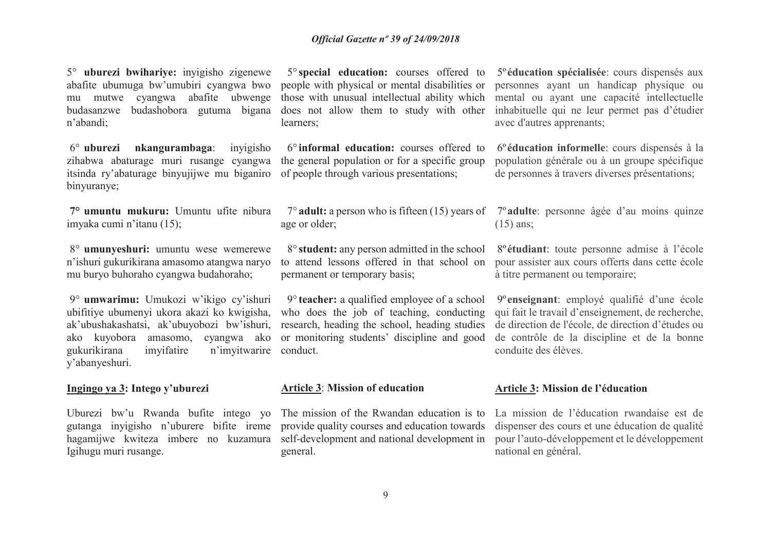5° **uburezi bwihariye:** inyigisho zigenewe abafite ubumuga bw'umubiri cyangwa bwo mu mutwe cyangwa abafite ubwenge budasanzwe budashobora gutuma bigana n'abandi;

 $6^\circ$  uburezi **nkangurambaga**: inyigisho zihabwa abaturage muri rusange cyangwa itsinda ry'abaturage binyujijwe mu biganiro binyuranye;

**7° umuntu mukuru:** Umuntu ufite nibura imyaka cumi n'itanu (15);

8° **umunyeshuri:** umuntu wese wemerewe n'ishuri gukurikirana amasomo atangwa naryo mu buryo buhoraho cyangwa budahoraho;

9° **umwarimu:** Umukozi w'ikigo cy'ishuri ubifitiye ubumenyi ukora akazi ko kwigisha, ak'ubushakashatsi, ak'ubuyobozi bw'ishuri, ako kuyobora amasomo, cyangwa ako gukurikirana imyifatire n'imyitwarire y'abanyeshuri.

#### **Ingingo ya 3: Intego y'uburezi**

 hagamijwe kwiteza imbere no kuzamura Igihugu muri rusange.

5° **special education:** courses offered to people with physical or mental disabilities or those with unusual intellectual ability which does not allow them to study with other learners;

6° **informal education:** courses offered to the general population or for a specific group of people through various presentations;

age or older;

8° **student:** any person admitted in the school to attend lessons offered in that school on permanent or temporary basis;

9° **teacher:** a qualified employee of a school who does the job of teaching, conducting research, heading the school, heading studies or monitoring students' discipline and good conduct.

#### **Article 3**: **Mission of education**

Uburezi bw'u Rwanda bufite intego yo The mission of the Rwandan education is to gutanga inyigisho n'uburere bifite ireme provide quality courses and education towards self-development and national development in general.

5º**éducation spécialisée**: cours dispensés aux personnes ayant un handicap physique ou mental ou ayant une capacité intellectuelle inhabituelle qui ne leur permet pas d'étudier avec d'autres apprenants;

6º**éducation informelle**: cours dispensés à la population générale ou à un groupe spécifique de personnes à travers diverses présentations;

7° **adult:** a person who is fifteen (15) years of 7º**adulte**: personne âgée d'au moins quinze (15) ans;

> 8º**étudiant**: toute personne admise à l'école pour assister aux cours offerts dans cette école à titre permanent ou temporaire;

> 9º**enseignant**: employé qualifié d'une école qui fait le travail d'enseignement, de recherche, de direction de l'école, de direction d'études ou de contrôle de la discipline et de la bonne conduite des élèves.

#### **Article 3: Mission de l'éducation**

La mission de l'éducation rwandaise est de dispenser des cours et une éducation de qualité pour l'auto-développement et le développement national en général.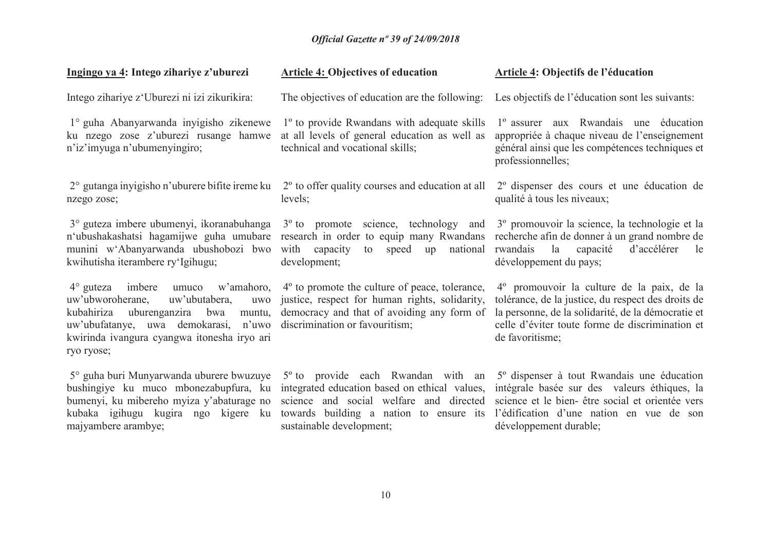| Ingingo ya 4: Intego zihariye z'uburezi                                                                                                                                                                                                        | <b>Article 4: Objectives of education</b>                                                                                                                                                                         | <b>Article 4: Objectifs de l'éducation</b>                                                                                                                                                                                      |
|------------------------------------------------------------------------------------------------------------------------------------------------------------------------------------------------------------------------------------------------|-------------------------------------------------------------------------------------------------------------------------------------------------------------------------------------------------------------------|---------------------------------------------------------------------------------------------------------------------------------------------------------------------------------------------------------------------------------|
| Intego zihariye z'Uburezi ni izi zikurikira:                                                                                                                                                                                                   | The objectives of education are the following:                                                                                                                                                                    | Les objectifs de l'éducation sont les suivants:                                                                                                                                                                                 |
| 1° guha Abanyarwanda inyigisho zikenewe<br>ku nzego zose z'uburezi rusange hamwe<br>n'iz'imyuga n'ubumenyingiro;                                                                                                                               | 1 <sup>°</sup> to provide Rwandans with adequate skills<br>at all levels of general education as well as<br>technical and vocational skills;                                                                      | 1º assurer aux Rwandais une éducation<br>appropriée à chaque niveau de l'enseignement<br>général ainsi que les compétences techniques et<br>professionnelles;                                                                   |
| nzego zose;                                                                                                                                                                                                                                    | $2^{\circ}$ gutanga inyigisho n'uburere bifite ireme ku $2^{\circ}$ to offer quality courses and education at all<br>levels;                                                                                      | 2 <sup>°</sup> dispenser des cours et une éducation de<br>qualité à tous les niveaux;                                                                                                                                           |
| 3° guteza imbere ubumenyi, ikoranabuhanga<br>n'ubushakashatsi hagamijwe guha umubare<br>munini w'Abanyarwanda ubushobozi bwo<br>kwihutisha iterambere ry'Igihugu;                                                                              | 3 <sup>°</sup> to promote science, technology and<br>research in order to equip many Rwandans<br>with capacity<br>to speed<br>up national<br>development;                                                         | 3º promouvoir la science, la technologie et la<br>recherche afin de donner à un grand nombre de<br>rwandais<br>la capacité<br>d'accélérer<br>le<br>développement du pays;                                                       |
| $4^{\circ}$ guteza imbere<br>umuco w'amahoro,<br>uw'ubutabera,<br>uw'ubworoherane,<br>uwo<br>kubahiriza<br>uburenganzira<br>bwa<br>muntu,<br>uw'ubufatanye, uwa demokarasi, n'uwo<br>kwirinda ivangura cyangwa itonesha iryo ari<br>ryo ryose; | $4^{\circ}$ to promote the culture of peace, tolerance,<br>justice, respect for human rights, solidarity,<br>democracy and that of avoiding any form of<br>discrimination or favouritism;                         | 4º promouvoir la culture de la paix, de la<br>tolérance, de la justice, du respect des droits de<br>la personne, de la solidarité, de la démocratie et<br>celle d'éviter toute forme de discrimination et<br>de favoritisme;    |
| 5° guha buri Munyarwanda uburere bwuzuye<br>bushingiye ku muco mbonezabupfura, ku<br>bumenyi, ku mibereho myiza y'abaturage no<br>kubaka igihugu kugira ngo kigere ku<br>majyambere arambye;                                                   | 5 <sup>°</sup> to provide each Rwandan with an<br>integrated education based on ethical values,<br>science and social welfare and directed<br>towards building a nation to ensure its<br>sustainable development; | 5 <sup>°</sup> dispenser à tout Rwandais une éducation<br>intégrale basée sur des valeurs éthiques, la<br>science et le bien-être social et orientée vers<br>l'édification d'une nation en vue de son<br>développement durable; |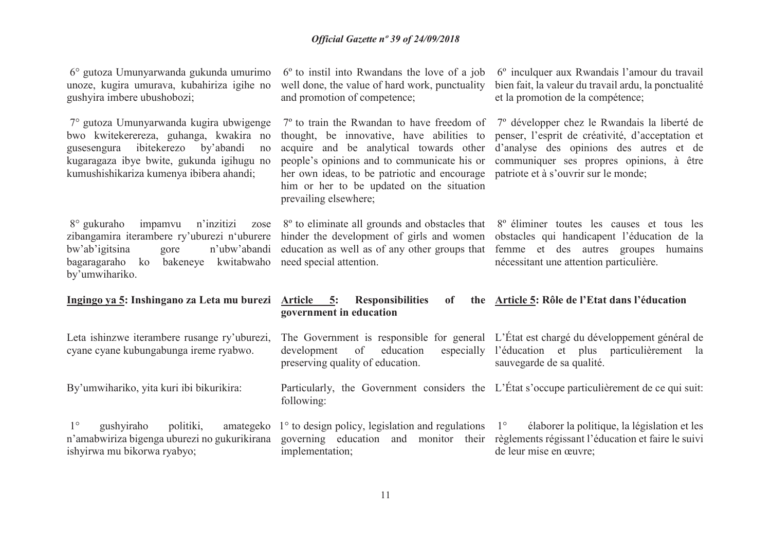| 6° gutoza Umunyarwanda gukunda umurimo<br>unoze, kugira umurava, kubahiriza igihe no<br>gushyira imbere ubushobozi;                                                                                                         | $6o$ to instil into Rwandans the love of a job<br>well done, the value of hard work, punctuality<br>and promotion of competence;                                                                                                                          | 6° inculquer aux Rwandais l'amour du travail<br>bien fait, la valeur du travail ardu, la ponctualité<br>et la promotion de la compétence;                                                                                                                                                    |
|-----------------------------------------------------------------------------------------------------------------------------------------------------------------------------------------------------------------------------|-----------------------------------------------------------------------------------------------------------------------------------------------------------------------------------------------------------------------------------------------------------|----------------------------------------------------------------------------------------------------------------------------------------------------------------------------------------------------------------------------------------------------------------------------------------------|
| 7° gutoza Umunyarwanda kugira ubwigenge<br>bwo kwitekerereza, guhanga, kwakira no<br>ibitekerezo<br>by'abandi<br>gusesengura<br>no<br>kugaragaza ibye bwite, gukunda igihugu no<br>kumushishikariza kumenya ibibera ahandi; | thought, be innovative, have abilities to<br>acquire and be analytical towards other<br>people's opinions and to communicate his or<br>her own ideas, to be patriotic and encourage<br>him or her to be updated on the situation<br>prevailing elsewhere; | $7^{\circ}$ to train the Rwandan to have freedom of $7^{\circ}$ développer chez le Rwandais la liberté de<br>penser, l'esprit de créativité, d'acceptation et<br>d'analyse des opinions des autres et de<br>communiquer ses propres opinions, à être<br>patriote et à s'ouvrir sur le monde; |
| 8 <sup>°</sup> gukuraho<br>impamvu<br>zibangamira iterambere ry'uburezi n'uburere<br>n'ubw'abandi<br>bw'ab'igitsina<br>gore<br>bagaragaraho<br>bakeneye kwitabwaho<br>ko<br>by'umwihariko.                                  | n'inzitizi zose 8 <sup>o</sup> to eliminate all grounds and obstacles that<br>hinder the development of girls and women<br>education as well as of any other groups that<br>need special attention.                                                       | 8 <sup>°</sup> éliminer toutes les causes et tous les<br>obstacles qui handicapent l'éducation de la<br>femme et des autres groupes humains<br>nécessitant une attention particulière.                                                                                                       |
| <u>Ingingo ya 5: Inshingano za Leta mu burezi Article 5:</u>                                                                                                                                                                | <b>Responsibilities</b><br><b>of</b><br>government in education                                                                                                                                                                                           | the Article 5: Rôle de l'Etat dans l'éducation                                                                                                                                                                                                                                               |
| Leta ishinzwe iterambere rusange ry'uburezi,<br>cyane cyane kubungabunga ireme ryabwo.                                                                                                                                      | education<br>development<br>of<br>preserving quality of education.                                                                                                                                                                                        | The Government is responsible for general L'État est chargé du développement général de<br>especially l'éducation et plus particulièrement la<br>sauvegarde de sa qualité.                                                                                                                   |
| By'umwihariko, yita kuri ibi bikurikira:                                                                                                                                                                                    | following:                                                                                                                                                                                                                                                | Particularly, the Government considers the L'État s'occupe particulièrement de ce qui suit:                                                                                                                                                                                                  |
| $1^{\circ}$<br>gushyiraho<br>politiki,<br>n'amabwiriza bigenga uburezi no gukurikirana<br>ishyirwa mu bikorwa ryabyo;                                                                                                       | amategeko $1^{\circ}$ to design policy, legislation and regulations $1^{\circ}$<br>implementation;                                                                                                                                                        | élaborer la politique, la législation et les<br>governing education and monitor their règlements régissant l'éducation et faire le suivi<br>de leur mise en œuvre;                                                                                                                           |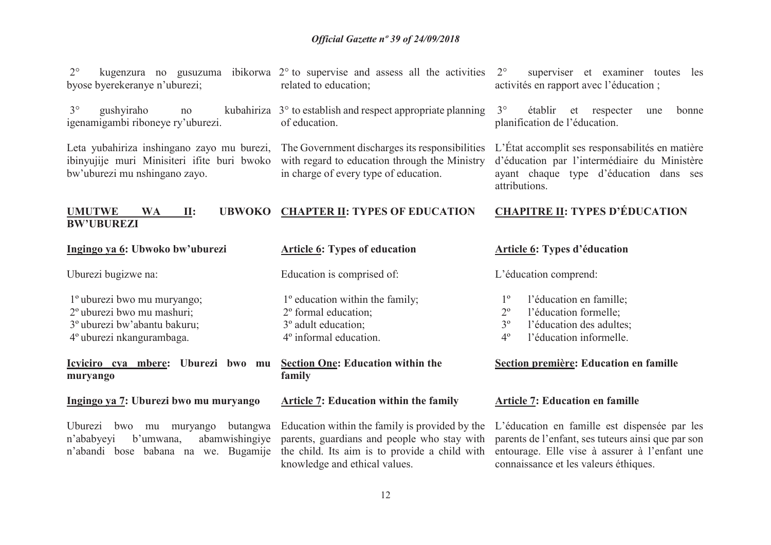2°byose byerekeranye n'uburezi;

 $3^\circ$ igenamigambi riboneye ry'uburezi.

Leta yubahiriza inshingano zayo mu burezi, The Government discharges its responsibilities ibinyujije muri Minisiteri ifite buri bwoko with regard to education through the Ministry bw'uburezi mu nshingano zayo.

 $\degree$  kugenzura no gusuzuma ibikorwa 2 $\degree$  to supervise and assess all the activities 2 $\degree$ related to education;

 $\degree$  gushyiraho no kubahiriza  $3^\circ$  to establish and respect appropriate planning of education.

in charge of every type of education.

 superviser et examiner toutes les activités en rapport avec l'éducation ;

 $3^\circ$  établir et respecter une bonne planification de l'éducation.

L'État accomplit ses responsabilités en matière d'éducation par l'intermédiaire du Ministère ayant chaque type d'éducation dans ses attributions.

connaissance et les valeurs éthiques.

#### **UMUTWE WA II: UBWOKO CHAPTER II: TYPES OF EDUCATION BW'UBUREZICHAPITRE II: TYPES D'ÉDUCATION**

| Ingingo ya 6: Ubwoko bw'uburezi                                                                                                                                        | <b>Article 6: Types of education</b>                                                                                                      | <b>Article 6: Types d'éducation</b>                                                                                                                                                                                                                                                                                                                                |
|------------------------------------------------------------------------------------------------------------------------------------------------------------------------|-------------------------------------------------------------------------------------------------------------------------------------------|--------------------------------------------------------------------------------------------------------------------------------------------------------------------------------------------------------------------------------------------------------------------------------------------------------------------------------------------------------------------|
| Uburezi bugizwe na:                                                                                                                                                    | Education is comprised of:                                                                                                                | L'éducation comprend:                                                                                                                                                                                                                                                                                                                                              |
| l <sup>o</sup> uburezi bwo mu muryango;<br>2 <sup>°</sup> uburezi bwo mu mashuri;<br>3 <sup>°</sup> uburezi bw'abantu bakuru;<br>4 <sup>°</sup> uburezi nkangurambaga. | $1^{\circ}$ education within the family;<br>2 <sup>°</sup> formal education;<br>3° adult education;<br>4 <sup>°</sup> informal education. | l'éducation en famille;<br>l'éducation formelle;<br>$2^{\circ}$<br>3 <sup>o</sup><br>l'éducation des adultes;<br>l'éducation informelle.<br>$4^{\circ}$                                                                                                                                                                                                            |
| Icyiciro cya mbere: Uburezi bwo mu<br>muryango                                                                                                                         | <b>Section One: Education within the</b><br>family                                                                                        | Section première: Education en famille                                                                                                                                                                                                                                                                                                                             |
| Ingingo ya 7: Uburezi bwo mu muryango                                                                                                                                  | <b>Article 7: Education within the family</b>                                                                                             | <b>Article 7: Education en famille</b>                                                                                                                                                                                                                                                                                                                             |
| Uburezi bwo<br>mu<br>n'ababyeyi<br>b'umwana,                                                                                                                           |                                                                                                                                           | muryango butangwa Education within the family is provided by the L'éducation en famille est dispensée par les<br>abamwishingiye parents, guardians and people who stay with parents de l'enfant, ses tuteurs ainsi que par son<br>n'abandi bose babana na we. Bugamije the child. Its aim is to provide a child with entourage. Elle vise à assurer à l'enfant une |

knowledge and ethical values.

12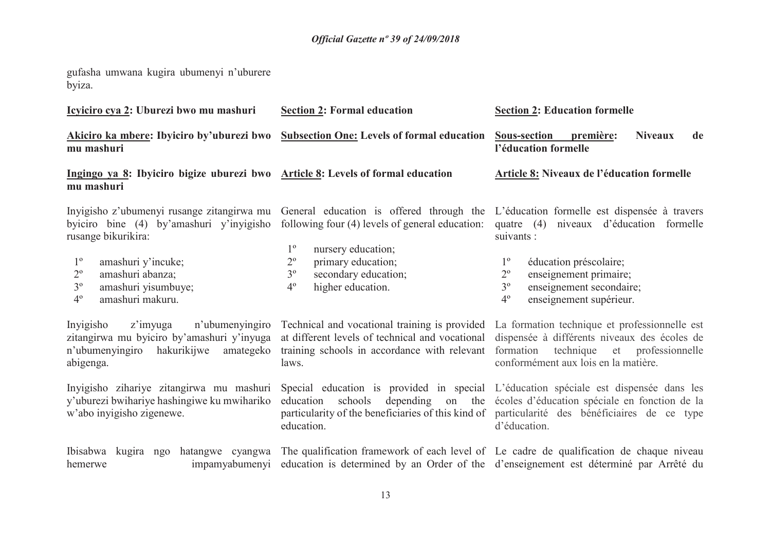gufasha umwana kugira ubumenyi n'uburere byiza.

| Icyiciro cya 2: Uburezi bwo mu mashuri                                                                                                                                                                           | <b>Section 2: Formal education</b>                                                                                                                                                                   | <b>Section 2: Education formelle</b>                                                                                                                                                                                                                                                                                                                      |
|------------------------------------------------------------------------------------------------------------------------------------------------------------------------------------------------------------------|------------------------------------------------------------------------------------------------------------------------------------------------------------------------------------------------------|-----------------------------------------------------------------------------------------------------------------------------------------------------------------------------------------------------------------------------------------------------------------------------------------------------------------------------------------------------------|
| Akiciro ka mbere: Ibyiciro by'uburezi bwo<br>mu mashuri                                                                                                                                                          | <b>Subsection One: Levels of formal education</b>                                                                                                                                                    | <b>Sous-section</b><br>première:<br><b>Niveaux</b><br>de<br>l'éducation formelle                                                                                                                                                                                                                                                                          |
| Ingingo ya 8: Ibyiciro bigize uburezi bwo Article 8: Levels of formal education<br>mu mashuri                                                                                                                    |                                                                                                                                                                                                      | <b>Article 8: Niveaux de l'éducation formelle</b>                                                                                                                                                                                                                                                                                                         |
| byiciro bine (4) by'amashuri y'inyigisho<br>rusange bikurikira:<br>$1^{\circ}$<br>amashuri y'incuke;<br>$2^{\rm o}$<br>amashuri abanza;<br>$3^{\circ}$<br>amashuri yisumbuye;<br>$4^{\circ}$<br>amashuri makuru. | following four (4) levels of general education:<br>$1^{\circ}$<br>nursery education;<br>$2^{\rm o}$<br>primary education;<br>$3^{\circ}$<br>secondary education;<br>$4^{\circ}$<br>higher education. | Inyigisho z'ubumenyi rusange zitangirwa mu General education is offered through the L'éducation formelle est dispensée à travers<br>quatre $(4)$<br>niveaux d'éducation formelle<br>suivants :<br>éducation préscolaire;<br>$2^{\circ}$<br>enseignement primaire;<br>$3^{\circ}$<br>enseignement secondaire;<br>4 <sup>°</sup><br>enseignement supérieur. |
| Invigisho<br>z'imyuga<br>n'ubumenyingiro<br>zitangirwa mu byiciro by'amashuri y'inyuga<br>n'ubumenyingiro hakurikijwe<br>amategeko<br>abigenga.                                                                  | Technical and vocational training is provided<br>at different levels of technical and vocational<br>training schools in accordance with relevant<br>laws.                                            | La formation technique et professionnelle est<br>dispensée à différents niveaux des écoles de<br>formation<br>technique<br>et<br>professionnelle<br>conformément aux lois en la matière.                                                                                                                                                                  |
| Inyigisho zihariye zitangirwa mu mashuri<br>y'uburezi bwihariye hashingiwe ku mwihariko<br>w'abo inyigisho zigenewe.                                                                                             | depending<br>education<br>schools<br>education.                                                                                                                                                      | Special education is provided in special L'éducation spéciale est dispensée dans les<br>on the écoles d'éducation spéciale en fonction de la<br>particularity of the beneficiaries of this kind of particularité des bénéficiaires de ce type<br>d'éducation.                                                                                             |
| Ibisabwa<br>kugira ngo<br>hatangwe cyangwa<br>impamyabumenyi<br>hemerwe                                                                                                                                          |                                                                                                                                                                                                      | The qualification framework of each level of Le cadre de qualification de chaque niveau<br>education is determined by an Order of the d'enseignement est déterminé par Arrêté du                                                                                                                                                                          |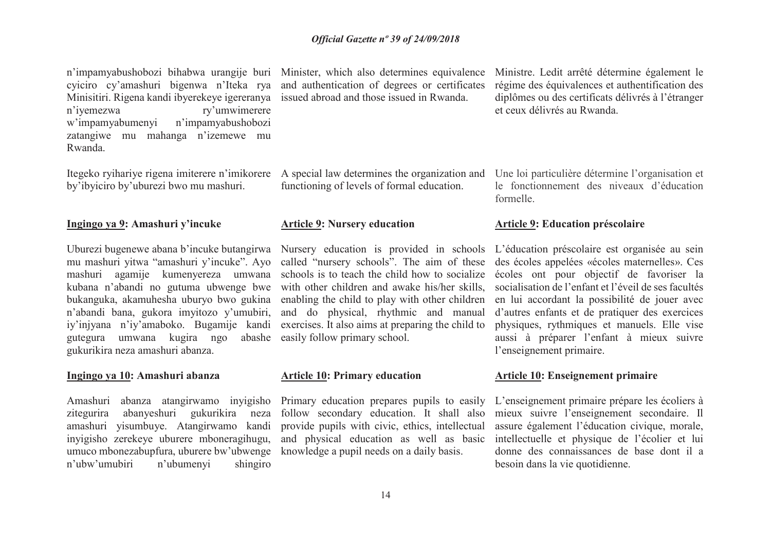n'impamyabushobozi bihabwa urangije buri Minister, which also determines equivalence cyiciro cy'amashuri bigenwa n'Iteka rya and authentication of degrees or certificates Minisitiri. Rigena kandi ibyerekeye igereranya issued abroad and those issued in Rwanda. n'iyemezwa ry'umwimerere w'impamyabumenyi n'impamyabushobozi zatangiwe mu mahanga n'izemewe mu Rwanda.

Itegeko ryihariye rigena imiterere n'imikorere A special law determines the organization and by'ibyiciro by'uburezi bwo mu mashuri.

#### **Ingingo ya 9: Amashuri y'incuke**

 mu mashuri yitwa "amashuri y'incuke". Ayo mashuri agamije kumenyereza umwana kubana n'abandi no gutuma ubwenge bwe bukanguka, akamuhesha uburyo bwo gukina n'abandi bana, gukora imyitozo y'umubiri, iy'injyana n'iy'amaboko. Bugamije kandi abashe gutegura umwana kugira ngo gukurikira neza amashuri abanza.

#### **Ingingo ya 10: Amashuri abanza**

 zitegurira abanyeshuri gukurikira neza amashuri yisumbuye. Atangirwamo kandi inyigisho zerekeye uburere mboneragihugu, umuco mbonezabupfura, uburere bw'ubwenge knowledge a pupil needs on a daily basis. shingiro n'ubw'umubiri n'ubumenyi

functioning of levels of formal education.

#### **Article 9: Nursery education**

 schools is to teach the child how to socialize with other children and awake his/her skills, enabling the child to play with other children and do physical, rhythmic and manual exercises. It also aims at preparing the child to easily follow primary school.

#### **Article 10: Primary education**

Amashuri abanza atangirwamo inyigisho Primary education prepares pupils to easily follow secondary education. It shall also provide pupils with civic, ethics, intellectual and physical education as well as basic

Ministre. Ledit arrêté détermine également le régime des équivalences et authentification des diplômes ou des certificats délivrés à l'étranger et ceux délivrés au Rwanda.

Une loi particulière détermine l'organisation et le fonctionnement des niveaux d'éducation formelle.

#### **Article 9: Education préscolaire**

Uburezi bugenewe abana b'incuke butangirwa Nursery education is provided in schools L'éducation préscolaire est organisée au sein called "nursery schools". The aim of these des écoles appelées «écoles maternelles». Ces écoles ont pour objectif de favoriser la socialisation de l'enfant et l'éveil de ses facultés en lui accordant la possibilité de jouer avec d'autres enfants et de pratiquer des exercices physiques, rythmiques et manuels. Elle vise aussi à préparer l'enfant à mieux suivre l'enseignement primaire.

#### **Article 10: Enseignement primaire**

L'enseignement primaire prépare les écoliers à mieux suivre l'enseignement secondaire. Il assure également l'éducation civique, morale, intellectuelle et physique de l'écolier et lui donne des connaissances de base dont il a besoin dans la vie quotidienne.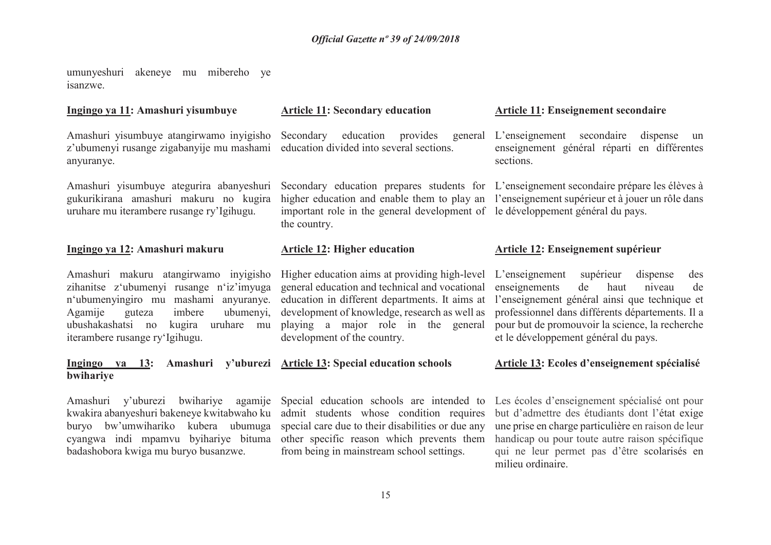umunyeshuri akeneye mu mibereho ye isanzwe.

#### **Ingingo ya 11: Amashuri yisumbuye**

Amashuri yisumbuye atangirwamo inyigisho z'ubumenyi rusange zigabanyije mu mashami anyuranye.

Amashuri yisumbuye ategurira abanyeshuri gukurikirana amashuri makuru no kugira uruhare mu iterambere rusange ry'Igihugu.

#### **Ingingo ya 12: Amashuri makuru**

Amashuri makuru atangirwamo inyigisho zihanitse z'ubumenyi rusange n'iz'imyuga n'ubumenyingiro mu mashami anyuranye. Agamije guteza imbere ubumenyi, ubushakashatsi no kugira uruhare mu iterambere rusange ry'Igihugu.

#### **Ingingo ya 13: Amashuri y'uburezi Article 13: Special education schools bwihariye**

Amashuri y'uburezi bwihariye agamije kwakira abanyeshuri bakeneye kwitabwaho ku buryo bw'umwihariko kubera ubumuga cyangwa indi mpamvu byihariye bituma badashobora kwiga mu buryo busanzwe.

#### **Article 11: Secondary education**

Secondary education provides general education divided into several sections.

 important role in the general development of le développement général du pays. the country.

#### **Article 12: Higher education**

Higher education aims at providing high-level general education and technical and vocational education in different departments. It aims at development of knowledge, research as well as playing a major role in the general development of the country.

Special education schools are intended to admit students whose condition requires special care due to their disabilities or due any other specific reason which prevents them from being in mainstream school settings.

#### **Article 11: Enseignement secondaire**

L'enseignement secondaire dispense un enseignement général réparti en différentes sections.

Secondary education prepares students for L'enseignement secondaire prépare les élèves à higher education and enable them to play an l'enseignement supérieur et à jouer un rôle dans

#### **Article 12: Enseignement supérieur**

L'enseignement supérieur dispense des enseignements de haut niveau de l'enseignement général ainsi que technique et professionnel dans différents départements. Il a pour but de promouvoir la science, la recherche et le développement général du pays.

#### **Article 13: Ecoles d'enseignement spécialisé**

Les écoles d'enseignement spécialisé ont pour but d'admettre des étudiants dont l'état exige une prise en charge particulière en raison de leur handicap ou pour toute autre raison spécifique qui ne leur permet pas d'être scolarisés en milieu ordinaire.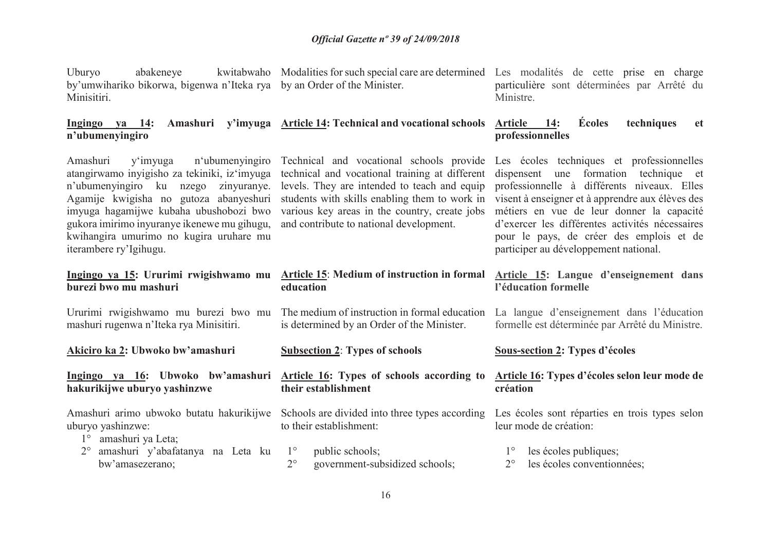| Uburyo<br>abakeneye<br>by'umwihariko bikorwa, bigenwa n'Iteka rya by an Order of the Minister.<br>Minisitiri.                                                                                                                                                                                                                           |                                                                                                                                                                                                                                                                                         | kwitabwaho Modalities for such special care are determined Les modalités de cette prise en charge<br>particulière sont déterminées par Arrêté du<br>Ministre.                                                                                                                                                                                                                 |
|-----------------------------------------------------------------------------------------------------------------------------------------------------------------------------------------------------------------------------------------------------------------------------------------------------------------------------------------|-----------------------------------------------------------------------------------------------------------------------------------------------------------------------------------------------------------------------------------------------------------------------------------------|-------------------------------------------------------------------------------------------------------------------------------------------------------------------------------------------------------------------------------------------------------------------------------------------------------------------------------------------------------------------------------|
| Ingingo va 14:<br>Amashuri<br>n'ubumenyingiro                                                                                                                                                                                                                                                                                           | y'imyuga Article 14: Technical and vocational schools                                                                                                                                                                                                                                   | <b>Écoles</b><br>techniques<br><b>Article</b><br>14:<br><b>et</b><br>professionnelles                                                                                                                                                                                                                                                                                         |
| n'ubumenyingiro<br>Amashuri<br>y'imyuga<br>atangirwamo inyigisho za tekiniki, iz'imyuga<br>n'ubumenyingiro ku nzego zinyuranye.<br>Agamije kwigisha no gutoza abanyeshuri<br>imyuga hagamijwe kubaha ubushobozi bwo<br>gukora imirimo inyuranye ikenewe mu gihugu,<br>kwihangira umurimo no kugira uruhare mu<br>iterambere ry'Igihugu. | Technical and vocational schools provide<br>technical and vocational training at different<br>levels. They are intended to teach and equip<br>students with skills enabling them to work in<br>various key areas in the country, create jobs<br>and contribute to national development. | Les écoles techniques et professionnelles<br>une formation technique et<br>dispensent<br>professionnelle à différents niveaux. Elles<br>visent à enseigner et à apprendre aux élèves des<br>métiers en vue de leur donner la capacité<br>d'exercer les différentes activités nécessaires<br>pour le pays, de créer des emplois et de<br>participer au développement national. |
| Ingingo ya 15: Ururimi rwigishwamo mu<br>burezi bwo mu mashuri                                                                                                                                                                                                                                                                          | <b>Article 15: Medium of instruction in formal</b><br>education                                                                                                                                                                                                                         | Article 15: Langue d'enseignement dans<br>l'éducation formelle                                                                                                                                                                                                                                                                                                                |
| mashuri rugenwa n'Iteka rya Minisitiri.                                                                                                                                                                                                                                                                                                 | Ururimi rwigishwamo mu burezi bwo mu The medium of instruction in formal education<br>is determined by an Order of the Minister.                                                                                                                                                        | La langue d'enseignement dans l'éducation<br>formelle est déterminée par Arrêté du Ministre.                                                                                                                                                                                                                                                                                  |
| Akiciro ka 2: Ubwoko bw'amashuri                                                                                                                                                                                                                                                                                                        | <b>Subsection 2: Types of schools</b>                                                                                                                                                                                                                                                   | <b>Sous-section 2: Types d'écoles</b>                                                                                                                                                                                                                                                                                                                                         |
| Ingingo ya 16: Ubwoko bw'amashuri<br>hakurikijwe uburyo yashinzwe                                                                                                                                                                                                                                                                       | Article 16: Types of schools according to<br>their establishment                                                                                                                                                                                                                        | Article 16: Types d'écoles selon leur mode de<br>création                                                                                                                                                                                                                                                                                                                     |
| Amashuri arimo ubwoko butatu hakurikijwe<br>uburyo yashinzwe:<br>amashuri ya Leta;<br>$1^{\circ}$                                                                                                                                                                                                                                       | Schools are divided into three types according<br>to their establishment:                                                                                                                                                                                                               | Les écoles sont réparties en trois types selon<br>leur mode de création:                                                                                                                                                                                                                                                                                                      |
|                                                                                                                                                                                                                                                                                                                                         |                                                                                                                                                                                                                                                                                         |                                                                                                                                                                                                                                                                                                                                                                               |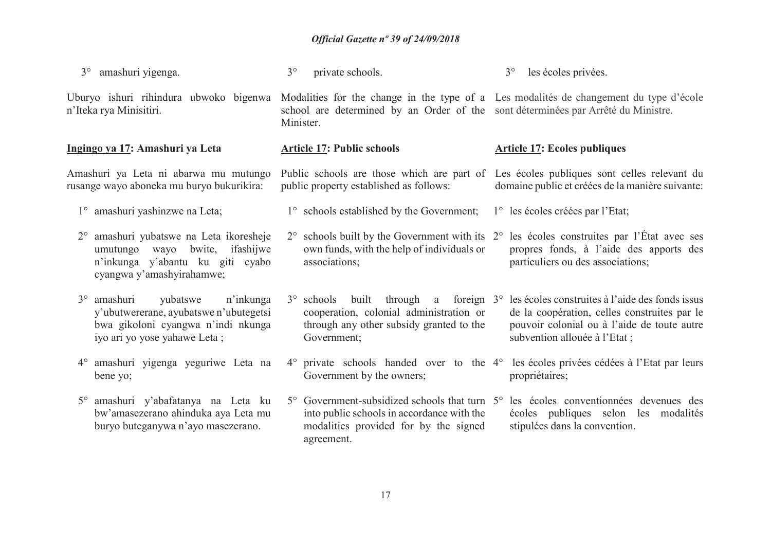| $3^\circ$   | amashuri yigenga.                                                                                                                                    | $3^\circ$   | private schools.                                                                                                                                                     | $3^\circ$<br>les écoles privées.                                                                                                                                               |
|-------------|------------------------------------------------------------------------------------------------------------------------------------------------------|-------------|----------------------------------------------------------------------------------------------------------------------------------------------------------------------|--------------------------------------------------------------------------------------------------------------------------------------------------------------------------------|
|             | Uburyo ishuri rihindura ubwoko bigenwa<br>n'Iteka rya Minisitiri.                                                                                    | Minister.   | school are determined by an Order of the sont déterminées par Arrêté du Ministre.                                                                                    | Modalities for the change in the type of a Les modalités de changement du type d'école                                                                                         |
|             | Ingingo ya 17: Amashuri ya Leta                                                                                                                      |             | <b>Article 17: Public schools</b>                                                                                                                                    | <b>Article 17: Ecoles publiques</b>                                                                                                                                            |
|             | Amashuri ya Leta ni abarwa mu mutungo<br>rusange wayo aboneka mu buryo bukurikira:                                                                   |             | public property established as follows:                                                                                                                              | Public schools are those which are part of Les écoles publiques sont celles relevant du<br>domaine public et créées de la manière suivante:                                    |
|             | 1° amashuri yashinzwe na Leta;                                                                                                                       |             | 1° schools established by the Government;                                                                                                                            | 1° les écoles créées par l'Etat;                                                                                                                                               |
| $2^{\circ}$ | amashuri yubatswe na Leta ikoresheje<br>bwite, ifashijwe<br>umutungo wayo<br>n'inkunga y'abantu ku giti cyabo<br>cyangwa y'amashyirahamwe;           | $2^{\circ}$ | schools built by the Government with its $2^{\circ}$<br>own funds, with the help of individuals or<br>associations;                                                  | les écoles construites par l'État avec ses<br>propres fonds, à l'aide des apports des<br>particuliers ou des associations;                                                     |
|             | 3° amashuri<br>yubatswe<br>n'inkunga<br>y'ubutwererane, ayubatswe n'ubutegetsi<br>bwa gikoloni cyangwa n'indi nkunga<br>iyo ari yo yose yahawe Leta; |             | $3^{\circ}$ schools built through a foreign $3^{\circ}$<br>cooperation, colonial administration or<br>through any other subsidy granted to the<br>Government;        | les écoles construites à l'aide des fonds issus<br>de la coopération, celles construites par le<br>pouvoir colonial ou à l'aide de toute autre<br>subvention allouée à l'Etat; |
| $4^{\circ}$ | amashuri yigenga yeguriwe Leta na<br>bene yo;                                                                                                        |             | $4^{\circ}$ private schools handed over to the $4^{\circ}$<br>Government by the owners;                                                                              | les écoles privées cédées à l'Etat par leurs<br>propriétaires;                                                                                                                 |
| $5^{\circ}$ | amashuri y'abafatanya na Leta ku<br>bw'amasezerano ahinduka aya Leta mu<br>buryo buteganywa n'ayo masezerano.                                        |             | $5^{\circ}$ Government-subsidized schools that turn $5^{\circ}$<br>into public schools in accordance with the<br>modalities provided for by the signed<br>agreement. | les écoles conventionnées devenues des<br>écoles publiques selon les modalités<br>stipulées dans la convention.                                                                |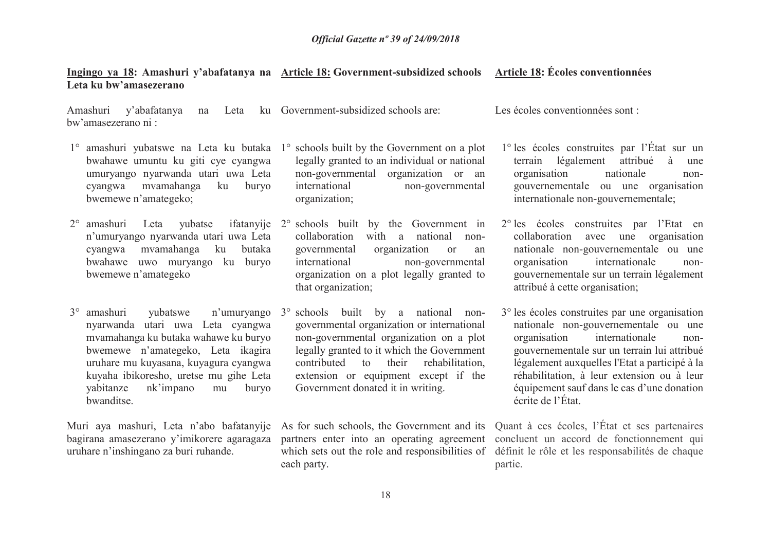#### **Ingingo ya 18: Amashuri y'abafatanya na Article 18: Government-subsidized schools Leta ku bw'amasezerano Article 18: Écoles conventionnées**

Amashuri y'abafatanya na Leta ku bw'amasezerano ni : Government-subsidized schools are:

- 1° amashuri yubatswe na Leta ku butaka 1° schools built by the Government on a plot bwahawe umuntu ku giti cye cyangwa umuryango nyarwanda utari uwa Leta cyangwa mvamahanga ku buryo bwemewe n'amategeko;
- 2° amashuri Leta yubatse ifatanyije n'umuryango nyarwanda utari uwa Leta cyangwa mvamahanga ku butaka bwahawe uwo muryango ku buryo bwemewe n'amategeko
- 3<sup>°</sup> amashuri nyarwanda utari uwa Leta cyangwa mvamahanga ku butaka wahawe ku buryo bwemewe n'amategeko, Leta ikagira uruhare mu kuyasana, kuyagura cyangwa kuyaha ibikoresho, uretse mu gihe Leta yabitanze nk'impano mu buryo bwanditse.

Muri aya mashuri, Leta <sup>n</sup>'abo bafatanyije bagirana amasezerano y'imikorere agaragaza uruhare n'inshingano za buri ruhande.

- legally granted to an individual or national non-governmental organization or an international non-governmental organization;
- 2° schools built by the Government in collaboration with a national nongovernmental organization or an international non-governmental organization on a plot legally granted to that organization;
- amashuri yubatswe n'umuryango 3° schools built by a national nongovernmental organization or international non-governmental organization on a plot legally granted to it which the Government contributed to their rehabilitation, extension or equipment except if the Government donated it in writing.

each party.

Les écoles conventionnées sont :

- 1° les écoles construites par l'État sur un terrain légalement attribué à une organisation nationale nongouvernementale ou une organisation internationale non-gouvernementale;
- 2° les écoles construites par l'Etat en collaboration avec une organisation nationale non-gouvernementale ou une organisation internationale nongouvernementale sur un terrain légalement attribué à cette organisation;
- 3° les écoles construites par une organisation nationale non-gouvernementale ou une organisation internationale nongouvernementale sur un terrain lui attribué légalement auxquelles l'Etat a participé à la réhabilitation, à leur extension ou à leur équipement sauf dans le cas d'une donation écrite de l'État.

As for such schools, the Government and its Quant à ces écoles, l'État et ses partenaires partners enter into an operating agreement concluent un accord de fonctionnement qui which sets out the role and responsibilities of définit le rôle et les responsabilités de chaque partie.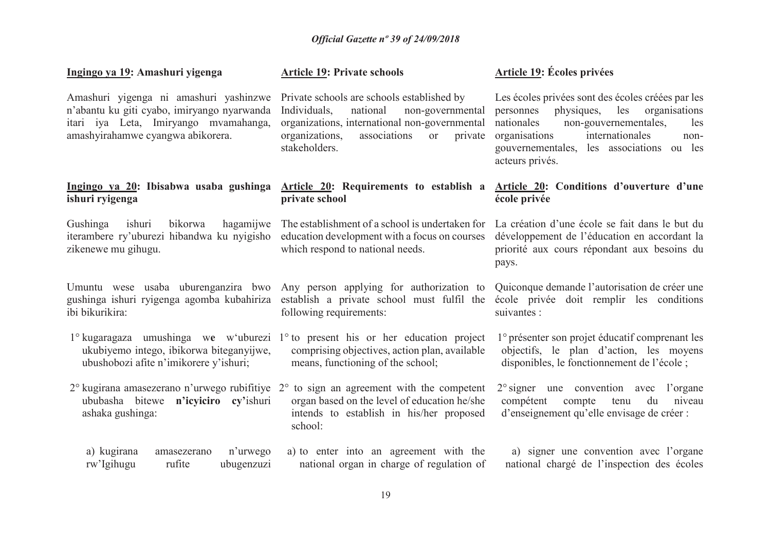| Ingingo ya 19: Amashuri yigenga                                                                                                                                     | <b>Article 19: Private schools</b>                                                                                                                                                                                     | Article 19: Écoles privées                                                                                                                                                                                                                                  |
|---------------------------------------------------------------------------------------------------------------------------------------------------------------------|------------------------------------------------------------------------------------------------------------------------------------------------------------------------------------------------------------------------|-------------------------------------------------------------------------------------------------------------------------------------------------------------------------------------------------------------------------------------------------------------|
| Amashuri yigenga ni amashuri yashinzwe<br>n'abantu ku giti cyabo, imiryango nyarwanda<br>itari iya Leta, Imiryango mvamahanga,<br>amashyirahamwe cyangwa abikorera. | Private schools are schools established by<br>Individuals,<br>national<br>non-governmental<br>organizations, international non-governmental<br>organizations,<br>associations<br><b>or</b><br>private<br>stakeholders. | Les écoles privées sont des écoles créées par les<br>physiques, les<br>organisations<br>personnes<br>non-gouvernementales,<br>nationales<br>les<br>internationales<br>organisations<br>non-<br>gouvernementales, les associations ou les<br>acteurs privés. |
| Ingingo ya 20: Ibisabwa usaba gushinga<br>ishuri ryigenga                                                                                                           | Article 20: Requirements to establish a<br>private school                                                                                                                                                              | Article 20: Conditions d'ouverture d'une<br>école privée                                                                                                                                                                                                    |
| hagamijwe<br>Gushinga<br>ishuri<br>bikorwa<br>iterambere ry'uburezi hibandwa ku nyigisho<br>zikenewe mu gihugu.                                                     | The establishment of a school is undertaken for<br>education development with a focus on courses<br>which respond to national needs.                                                                                   | La création d'une école se fait dans le but du<br>développement de l'éducation en accordant la<br>priorité aux cours répondant aux besoins du<br>pays.                                                                                                      |
| gushinga ishuri ryigenga agomba kubahiriza<br>ibi bikurikira:                                                                                                       | Umuntu wese usaba uburenganzira bwo Any person applying for authorization to<br>establish a private school must fulfil the<br>following requirements:                                                                  | Quiconque demande l'autorisation de créer une<br>école privée doit remplir les conditions<br>suivantes :                                                                                                                                                    |
| ukubiyemo intego, ibikorwa biteganyijwe,<br>ubushobozi afite n'imikorere y'ishuri;                                                                                  | 1° kugaragaza umushinga we w'uburezi 1° to present his or her education project<br>comprising objectives, action plan, available<br>means, functioning of the school;                                                  | l <sup>o</sup> présenter son projet éducatif comprenant les<br>objectifs, le plan d'action, les moyens<br>disponibles, le fonctionnement de l'école;                                                                                                        |
| 2° kugirana amasezerano n'urwego rubifitiye<br>ububasha bitewe<br>n'icyiciro cy'ishuri<br>ashaka gushinga:                                                          | to sign an agreement with the competent<br>$2^{\circ}$<br>organ based on the level of education he/she<br>intends to establish in his/her proposed<br>school:                                                          | $2^{\circ}$ signer une convention avec<br>l'organe<br>compétent<br>compte<br>du<br>tenu<br>niveau<br>d'enseignement qu'elle envisage de créer :                                                                                                             |
| a) kugirana<br>n'urwego<br>amasezerano<br>rw'Igihugu<br>rufite<br>ubugenzuzi                                                                                        | a) to enter into an agreement with the<br>national organ in charge of regulation of                                                                                                                                    | a) signer une convention avec l'organe<br>national chargé de l'inspection des écoles                                                                                                                                                                        |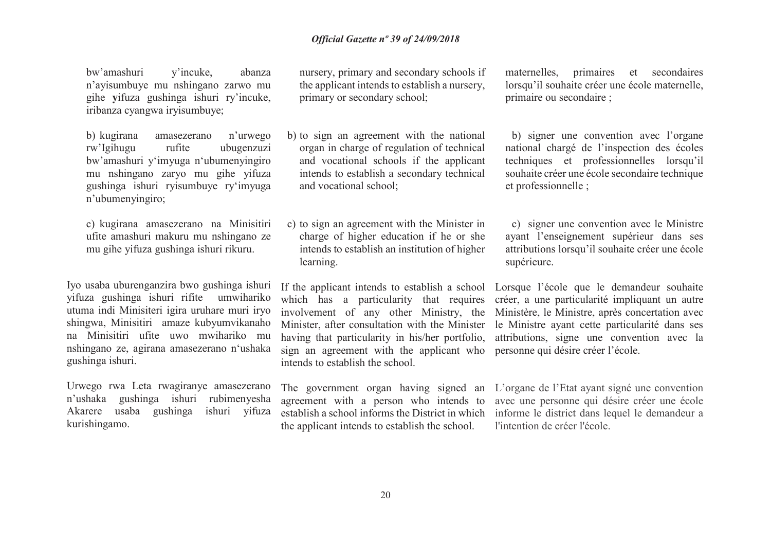bw'amashuri y'incuke, abanza n'ayisumbuye mu nshingano zarwo mu gihe **y**ifuza gushinga ishuri ry'incuke, iribanza cyangwa iryisumbuye;

b) kugirana kugirana amasezerano n'urwego rw'Igihugu rufite ubugenzuzi bw'amashuri y'imyuga n'ubumenyingiro mu nshingano zaryo mu gihe yifuza gushinga ishuri ryisumbuye ry'imyuga n'ubumenyingiro;

c) kugirana amasezerano na Minisitiri ufite amashuri makuru mu nshingano ze mu gihe yifuza gushinga ishuri rikuru.

Iyo usaba uburenganzira bwo gushinga ishuri yifuza gushinga ishuri rifite umwihariko utuma indi Minisiteri igira uruhare muri iryo shingwa, Minisitiri amaze kubyumvikanaho na Minisitiri ufite uwo mwihariko mu nshingano ze, agirana amasezerano n'ushaka gushinga ishuri.

Urwego rwa Leta rwagiranye amasezerano n'ushaka gushinga ishuri rubimenyesha ishuri yifuza Akarere usaba gushinga kurishingamo.

nursery, primary and secondary schools if the applicant intends to establish a nursery, primary or secondary school;

- b) to sign an agreement with the national organ in charge of regulation of technical and vocational schools if the applicant intends to establish a secondary technical and vocational school;
- c) to sign an agreement with the Minister in charge of higher education if he or she intends to establish an institution of higher learning.

 Minister, after consultation with the Minister having that particularity in his/her portfolio, sign an agreement with the applicant who personne qui désire créer l'école. intends to establish the school.

The government organ having signed an agreement with a person who intends to establish a school informs the District in which the applicant intends to establish the school.

maternelles, primaires et secondaires lorsqu'il souhaite créer une école maternelle, primaire ou secondaire ;

b) signer une convention avec l'organe national chargé de l'inspection des écoles techniques et professionnelles lorsqu'il souhaite créer une école secondaire technique et professionnelle ;

c) signer une convention avec le Ministre ayant l'enseignement supérieur dans ses attributions lorsqu'il souhaite créer une école supérieure.

If the applicant intends to establish a school Lorsque l'école que le demandeur souhaite which has a particularity that requires créer, a une particularité impliquant un autre involvement of any other Ministry, the Ministère, le Ministre, après concertation avec le Ministre ayant cette particularité dans ses attributions, signe une convention avec la

> L'organe de l'Etat ayant signé une convention avec une personne qui désire créer une école informe le district dans lequel le demandeur a l'intention de créer l'école.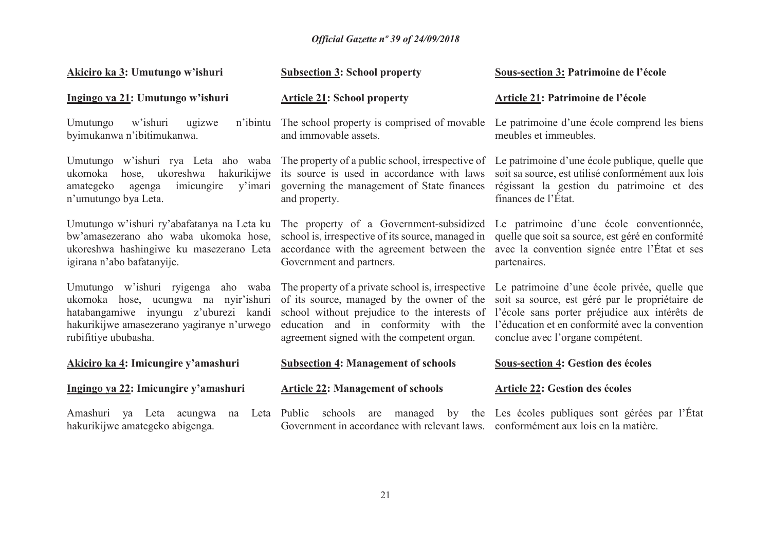| Akiciro ka 3: Umutungo w'ishuri                                                                                                                                                            | <b>Subsection 3: School property</b>                                                                                                                                                  | Sous-section 3: Patrimoine de l'école                                                                                                                                                                                                                                                               |
|--------------------------------------------------------------------------------------------------------------------------------------------------------------------------------------------|---------------------------------------------------------------------------------------------------------------------------------------------------------------------------------------|-----------------------------------------------------------------------------------------------------------------------------------------------------------------------------------------------------------------------------------------------------------------------------------------------------|
| Ingingo ya 21: Umutungo w'ishuri                                                                                                                                                           | <b>Article 21: School property</b>                                                                                                                                                    | Article 21: Patrimoine de l'école                                                                                                                                                                                                                                                                   |
| w'ishuri<br>ugizwe<br>n'ibintu<br>Umutungo<br>byimukanwa n'ibitimukanwa.                                                                                                                   | The school property is comprised of movable<br>and immovable assets.                                                                                                                  | Le patrimoine d'une école comprend les biens<br>meubles et immeubles.                                                                                                                                                                                                                               |
| ukomoka<br>hose, ukoreshwa<br>hakurikijwe<br>amategeko<br>imicungire<br>agenga<br>n'umutungo bya Leta.                                                                                     | its source is used in accordance with laws<br>y'imari governing the management of State finances<br>and property.                                                                     | Umutungo w'ishuri rya Leta aho waba The property of a public school, irrespective of Le patrimoine d'une école publique, quelle que<br>soit sa source, est utilisé conformément aux lois<br>régissant la gestion du patrimoine et des<br>finances de l'État.                                        |
| bw'amasezerano aho waba ukomoka hose,<br>ukoreshwa hashingiwe ku masezerano Leta<br>igirana n'abo bafatanyije.                                                                             | accordance with the agreement between the<br>Government and partners.                                                                                                                 | Umutungo w'ishuri ry'abafatanya na Leta ku The property of a Government-subsidized Le patrimoine d'une école conventionnée,<br>school is, irrespective of its source, managed in quelle que soit sa source, est géré en conformité<br>avec la convention signée entre l'État et ses<br>partenaires. |
| Umutungo w'ishuri ryigenga aho waba<br>ukomoka hose, ucungwa na nyir'ishuri<br>hatabangamiwe inyungu z'uburezi kandi<br>hakurikijwe amasezerano yagiranye n'urwego<br>rubifitiye ububasha. | The property of a private school is, irrespective<br>of its source, managed by the owner of the<br>education and in conformity with the<br>agreement signed with the competent organ. | Le patrimoine d'une école privée, quelle que<br>soit sa source, est géré par le propriétaire de<br>school without prejudice to the interests of l'école sans porter préjudice aux intérêts de<br>l'éducation et en conformité avec la convention<br>conclue avec l'organe compétent.                |
| Akiciro ka 4: Imicungire y'amashuri                                                                                                                                                        | <b>Subsection 4: Management of schools</b>                                                                                                                                            | <b>Sous-section 4: Gestion des écoles</b>                                                                                                                                                                                                                                                           |
| Ingingo ya 22: Imicungire y'amashuri                                                                                                                                                       | <b>Article 22: Management of schools</b>                                                                                                                                              | <b>Article 22: Gestion des écoles</b>                                                                                                                                                                                                                                                               |
| Amashuri<br>va Leta<br>acungwa<br>na<br>hakurikijwe amategeko abigenga.                                                                                                                    | Leta Public schools<br>are<br>Government in accordance with relevant laws. conformément aux lois en la matière.                                                                       | managed by the Les écoles publiques sont gérées par l'État                                                                                                                                                                                                                                          |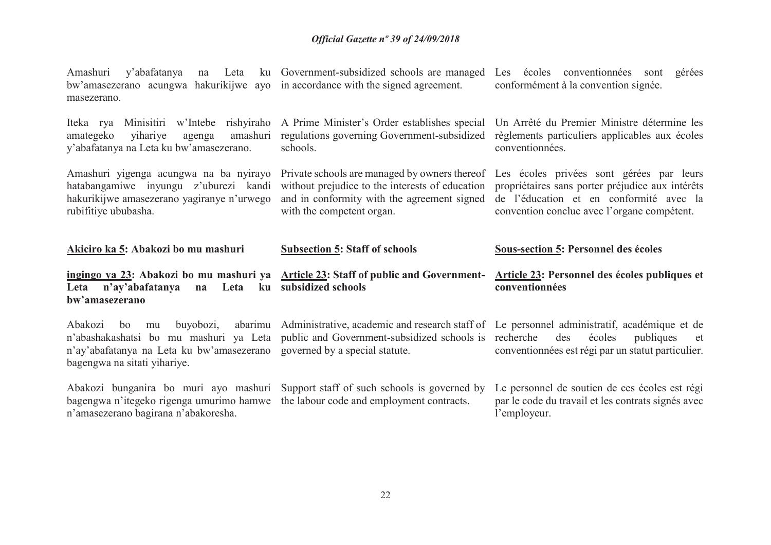| Leta<br>Amashuri<br>y'abafatanya<br>na<br>bw'amasezerano acungwa hakurikijwe ayo in accordance with the signed agreement.<br>masezerano.              | ku Government-subsidized schools are managed                                                                                   | Les écoles conventionnées sont<br>gérées<br>conformément à la convention signée.                                                                                                                                                     |
|-------------------------------------------------------------------------------------------------------------------------------------------------------|--------------------------------------------------------------------------------------------------------------------------------|--------------------------------------------------------------------------------------------------------------------------------------------------------------------------------------------------------------------------------------|
| rishyiraho<br>Iteka rya<br>Minisitiri<br>w'Intebe<br>amashuri<br>amategeko<br>yihariye<br>agenga<br>y'abafatanya na Leta ku bw'amasezerano.           | A Prime Minister's Order establishes special<br>regulations governing Government-subsidized<br>schools.                        | Un Arrêté du Premier Ministre détermine les<br>règlements particuliers applicables aux écoles<br>conventionnées.                                                                                                                     |
| Amashuri yigenga acungwa na ba nyirayo<br>hatabangamiwe inyungu z'uburezi kandi<br>hakurikijwe amasezerano yagiranye n'urwego<br>rubifitiye ububasha. | without prejudice to the interests of education<br>and in conformity with the agreement signed<br>with the competent organ.    | Private schools are managed by owners thereof Les écoles privées sont gérées par leurs<br>propriétaires sans porter préjudice aux intérêts<br>de l'éducation et en conformité avec la<br>convention conclue avec l'organe compétent. |
|                                                                                                                                                       |                                                                                                                                |                                                                                                                                                                                                                                      |
| Akiciro ka 5: Abakozi bo mu mashuri                                                                                                                   | <b>Subsection 5: Staff of schools</b>                                                                                          | <b>Sous-section 5: Personnel des écoles</b>                                                                                                                                                                                          |
| <u>ingingo ya 23</u> : Abakozi bo mu mashuri ya<br>n'ay'abafatanya<br>Leta<br>Leta<br>ku<br>na<br>bw'amasezerano                                      | <b>Article 23: Staff of public and Government-</b><br>subsidized schools                                                       | Article 23: Personnel des écoles publiques et<br>conventionnées                                                                                                                                                                      |
| buyobozi,<br>Abakozi<br>bo<br>mu<br>n'ay'abafatanya na Leta ku bw'amasezerano<br>bagengwa na sitati yihariye.                                         | n'abashakashatsi bo mu mashuri ya Leta public and Government-subsidized schools is recherche<br>governed by a special statute. | abarimu Administrative, academic and research staff of Le personnel administratif, académique et de<br>des<br>écoles<br>publiques<br>et<br>conventionnées est régi par un statut particulier.                                        |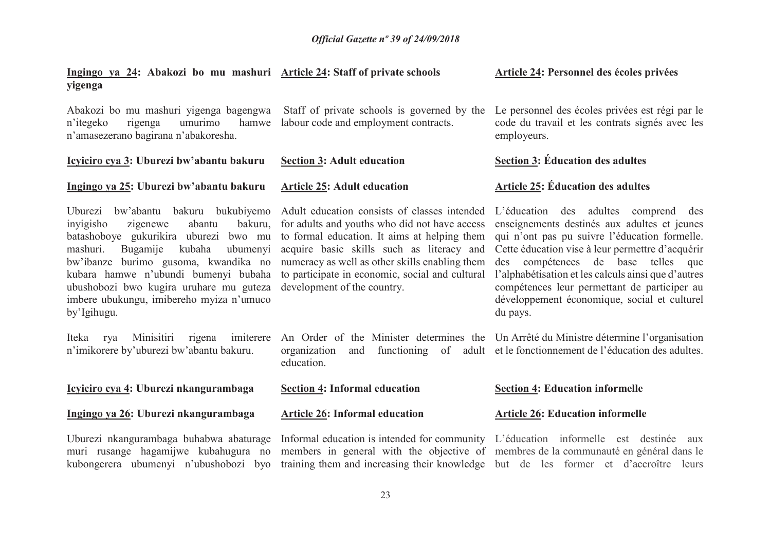| Ingingo ya 24: Abakozi bo mu mashuri Article 24: Staff of private schools<br>yigenga                                                                                                                                                                                                                                                                              |                                                                                                                                                                                                                                                                                                                                | Article 24: Personnel des écoles privées                                                                                                                                                                                                                                                                                                                                                              |
|-------------------------------------------------------------------------------------------------------------------------------------------------------------------------------------------------------------------------------------------------------------------------------------------------------------------------------------------------------------------|--------------------------------------------------------------------------------------------------------------------------------------------------------------------------------------------------------------------------------------------------------------------------------------------------------------------------------|-------------------------------------------------------------------------------------------------------------------------------------------------------------------------------------------------------------------------------------------------------------------------------------------------------------------------------------------------------------------------------------------------------|
| Abakozi bo mu mashuri yigenga bagengwa<br>umurimo<br>rigenga<br>hamwe<br>n'itegeko<br>n'amasezerano bagirana n'abakoresha.                                                                                                                                                                                                                                        | Staff of private schools is governed by the<br>labour code and employment contracts.                                                                                                                                                                                                                                           | Le personnel des écoles privées est régi par le<br>code du travail et les contrats signés avec les<br>employeurs.                                                                                                                                                                                                                                                                                     |
| Icyiciro cya 3: Uburezi bw'abantu bakuru                                                                                                                                                                                                                                                                                                                          | <b>Section 3: Adult education</b>                                                                                                                                                                                                                                                                                              | Section 3: Éducation des adultes                                                                                                                                                                                                                                                                                                                                                                      |
| Ingingo ya 25: Uburezi bw'abantu bakuru                                                                                                                                                                                                                                                                                                                           | <b>Article 25: Adult education</b>                                                                                                                                                                                                                                                                                             | <b>Article 25: Éducation des adultes</b>                                                                                                                                                                                                                                                                                                                                                              |
| Uburezi bw'abantu<br>bakuru bukubiyemo<br>bakuru,<br>inyigisho<br>zigenewe<br>abantu<br>batashoboye gukurikira uburezi bwo mu<br>mashuri.<br>Bugamije<br>kubaha<br>ubumenyi<br>bw'ibanze burimo gusoma, kwandika no<br>kubara hamwe n'ubundi bumenyi bubaha<br>ubushobozi bwo kugira uruhare mu guteza<br>imbere ubukungu, imibereho myiza n'umuco<br>by'Igihugu. | Adult education consists of classes intended<br>for adults and youths who did not have access<br>to formal education. It aims at helping them<br>acquire basic skills such as literacy and<br>numeracy as well as other skills enabling them<br>to participate in economic, social and cultural<br>development of the country. | L'éducation des adultes comprend des<br>enseignements destinés aux adultes et jeunes<br>qui n'ont pas pu suivre l'éducation formelle.<br>Cette éducation vise à leur permettre d'acquérir<br>compétences de base telles que<br>des<br>l'alphabétisation et les calculs ainsi que d'autres<br>compétences leur permettant de participer au<br>développement économique, social et culturel<br>du pays. |
| Minisitiri<br>imiterere<br>Iteka<br>rigena<br>rya<br>n'imikorere by'uburezi bw'abantu bakuru.                                                                                                                                                                                                                                                                     | organization<br>and<br>education.                                                                                                                                                                                                                                                                                              | An Order of the Minister determines the Un Arrêté du Ministre détermine l'organisation<br>functioning of adult et le fonctionnement de l'éducation des adultes.                                                                                                                                                                                                                                       |
| Icyiciro cya 4: Uburezi nkangurambaga                                                                                                                                                                                                                                                                                                                             | <b>Section 4: Informal education</b>                                                                                                                                                                                                                                                                                           | <b>Section 4: Education informelle</b>                                                                                                                                                                                                                                                                                                                                                                |
| Ingingo ya 26: Uburezi nkangurambaga                                                                                                                                                                                                                                                                                                                              | <b>Article 26: Informal education</b>                                                                                                                                                                                                                                                                                          | <b>Article 26: Education informelle</b>                                                                                                                                                                                                                                                                                                                                                               |
| Uburezi nkangurambaga buhabwa abaturage<br>muri rusange hagamijwe kubahugura no<br>kubongerera ubumenyi n'ubushobozi byo                                                                                                                                                                                                                                          | Informal education is intended for community L'éducation informelle est destinée                                                                                                                                                                                                                                               | aux<br>members in general with the objective of membres de la communauté en général dans le<br>training them and increasing their knowledge but de les former et d'accroître leurs                                                                                                                                                                                                                    |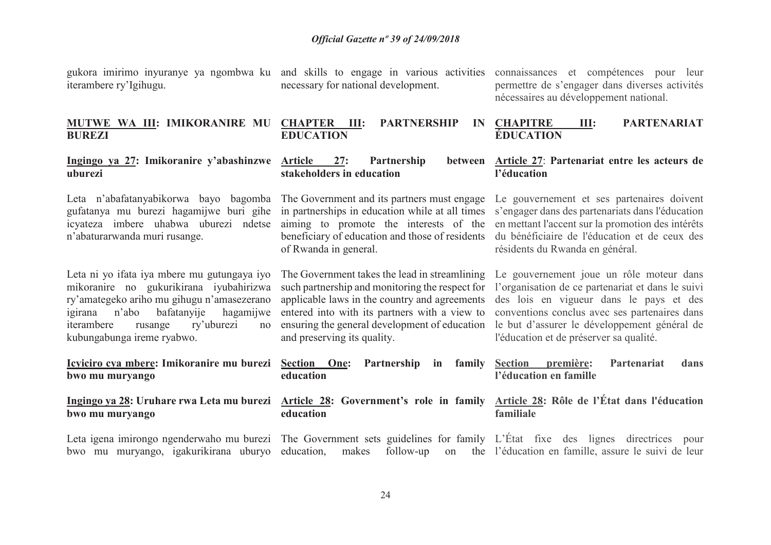iterambere ry'Igihugu.

necessary for national development.

gukora imirimo inyuranye ya ngombwa ku and skills to engage in various activities connaissances et compétences pour leur permettre de s'engager dans diverses activités nécessaires au développement national.

#### **MUTWE WA III: IMIKORANIRE MU CHAPTER III: PARTNERSHIP IN BUREZI EDUCATION CHAPITRE III: PARTENARIAT ÉDUCATION**

#### **Ingingo ya 27: Imikoranire y'abashinzwe uburezi**

Leta n'abafatanyabikorwa bayo bagomba The Government and its partners must engage Le gouvernement et ses partenaires doivent gufatanya mu burezi hagamijwe buri gihe in partnerships in education while at all times s'engager dans des partenariats dans l'éducation icyateza imbere uhabwa uburezi ndetse aiming to promote the interests of the en mettant l'accent sur la promotion des intérêts n'abaturarwanda muri rusange.

Leta ni yo ifata iya mbere mu gutungaya iyo mikoranire no gukurikirana iyubahirizwa ry'amategeko ariho mu gihugu n'amasezerano igirana n'abo bafatanyije hagamijwe iterambere rusange ry'uburezi no kubungabunga ireme ryabwo.

**Icyiciro cya mbere: Imikoranire mu burezi bwo mu muryango** 

**bwo mu muryango**

Leta igena imirongo ngenderwaho mu burezi The Government sets guidelines for family L'État fixe des lignes directrices pour

27: Partnership **stakeholders in education Article 27**: **Partenariat entre les acteurs de** 

 beneficiary of education and those of residents of Rwanda in general.

and preserving its quality.

**education** 

**education** 

 du bénéficiaire de l'éducation et de ceux des résidents du Rwanda en général.

The Government takes the lead in streamlining such partnership and monitoring the respect for applicable laws in the country and agreements entered into with its partners with a view to ensuring the general development of education Le gouvernement joue un rôle moteur dans l'organisation de ce partenariat et dans le suivi des lois en vigueur dans le pays et des conventions conclus avec ses partenaires dans le but d'assurer le développement général de l'éducation et de préserver sa qualité.

**l'éducation** 

**Section première: Partenariat dans l'éducation en famille** 

**Ingingo ya 28: Uruhare rwa Leta mu burezi Article 28: Government's role in family Article 28: Rôle de l'État dans l'éducation familiale** 

bwo mu muryango, igakurikirana uburyo education, makes follow-up on the l'éducation en famille, assure le suivi de leur

**Partnership in family**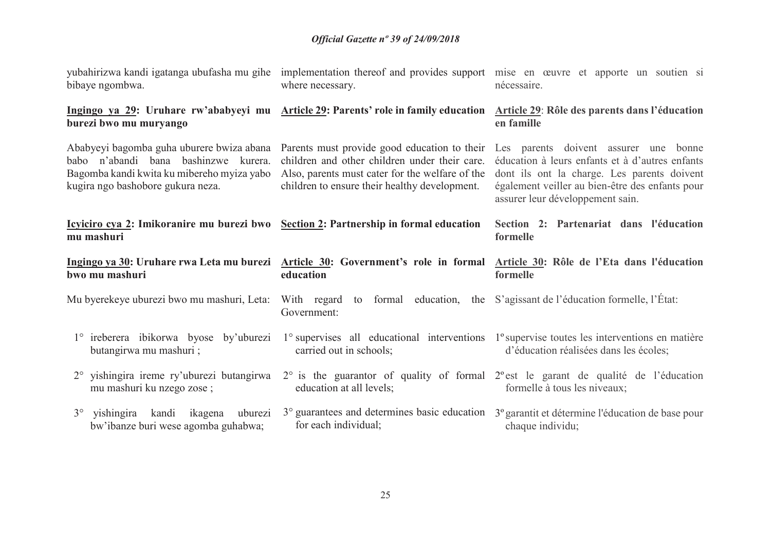| bibaye ngombwa.                                                                                                         | where necessary.                                                                                                                                  | yubahirizwa kandi igatanga ubufasha mu gihe implementation thereof and provides support mise en œuvre et apporte un soutien si<br>nécessaire.                                                                                                                                                                         |
|-------------------------------------------------------------------------------------------------------------------------|---------------------------------------------------------------------------------------------------------------------------------------------------|-----------------------------------------------------------------------------------------------------------------------------------------------------------------------------------------------------------------------------------------------------------------------------------------------------------------------|
| burezi bwo mu muryango                                                                                                  | Ingingo ya 29: Uruhare rw'ababyeyi mu Article 29: Parents' role in family education                                                               | <b>Article 29: Rôle des parents dans l'éducation</b><br>en famille                                                                                                                                                                                                                                                    |
| babo n'abandi bana bashinzwe kurera.<br>Bagomba kandi kwita ku mibereho myiza yabo<br>kugira ngo bashobore gukura neza. | children and other children under their care.<br>Also, parents must cater for the welfare of the<br>children to ensure their healthy development. | Ababyeyi bagomba guha uburere bwiza abana Parents must provide good education to their Les parents doivent assurer une bonne<br>éducation à leurs enfants et à d'autres enfants<br>dont ils ont la charge. Les parents doivent<br>également veiller au bien-être des enfants pour<br>assurer leur développement sain. |
| Icyliciro cya 2: Imikoranire mu burezi bwo Section 2: Partnership in formal education<br>mu mashuri                     |                                                                                                                                                   | Section 2: Partenariat dans l'éducation<br>formelle                                                                                                                                                                                                                                                                   |
|                                                                                                                         |                                                                                                                                                   |                                                                                                                                                                                                                                                                                                                       |
| bwo mu mashuri                                                                                                          | education                                                                                                                                         | Ingingo ya 30: Uruhare rwa Leta mu burezi Article 30: Government's role in formal Article 30: Rôle de l'Eta dans l'éducation<br>formelle                                                                                                                                                                              |
|                                                                                                                         | Mu byerekeye uburezi bwo mu mashuri, Leta: With regard to formal education, the S'agissant de l'éducation formelle, l'État:<br>Government:        |                                                                                                                                                                                                                                                                                                                       |
| 1° ireberera ibikorwa byose by'uburezi<br>butangirwa mu mashuri;                                                        | carried out in schools;                                                                                                                           | 1° supervises all educational interventions 1° supervise toutes les interventions en matière<br>d'éducation réalisées dans les écoles;                                                                                                                                                                                |
| 2° yishingira ireme ry'uburezi butangirwa<br>mu mashuri ku nzego zose;                                                  | education at all levels;                                                                                                                          | $2^{\circ}$ is the guarantor of quality of formal $2^{\circ}$ est le garant de qualité de l'éducation<br>formelle à tous les niveaux;                                                                                                                                                                                 |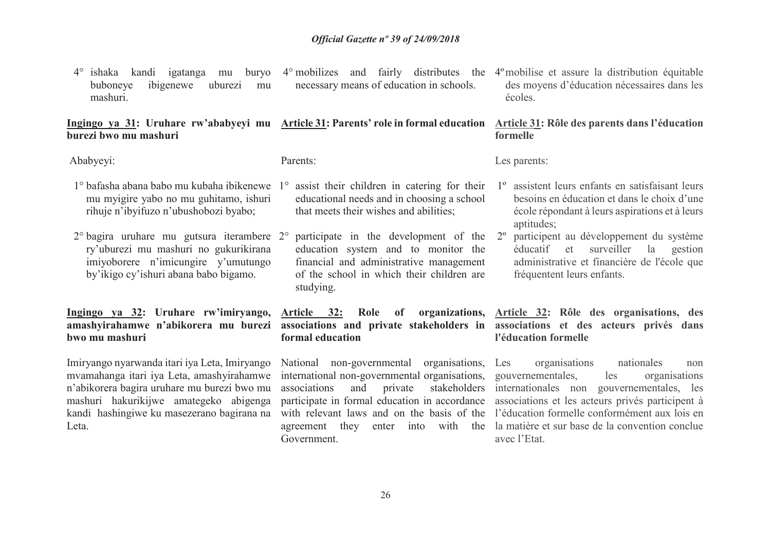4° ishaka kandi igatanga mu buryo 4° mobilizes and fairly distributes the 4ºmobilise et assure la distribution équitable buboneye ibigenewe uburezi mu mashuri. necessary means of education in schools.

#### **Ingingo ya 31: Uruhare rw'ababyeyi mu Article 31: Parents' role in formal education Article 31: Rôle des parents dans l'éducation burezi bwo mu mashuriformelle**

Ababyeyi:

Parents:

- 1° bafasha abana babo mu kubaha ibikenewe 1°mu myigire yabo no mu guhitamo, ishuri rihuje n'ibyifuzo n'ubushobozi byabo;
- 2° bagira uruhare mu gutsura iterambere 2°ry'uburezi mu mashuri no gukurikirana imiyoborere n'imicungire y'umutungo by'ikigo cy'ishuri abana babo bigamo.

**Ingingo ya 32: Uruhare rw'imiryango, amashyirahamwe n'abikorera mu burezi bwo mu mashuri**

Imiryango nyarwanda itari iya Leta, Imiryango mvamahanga itari iya Leta, amashyirahamwe n'abikorera bagira uruhare mu burezi bwo mu mashuri hakurikijwe amategeko abigenga kandi hashingiwe ku masezerano bagirana na Leta.

- assist their children in catering for their educational needs and in choosing a school that meets their wishes and abilities;
- participate in the development of the 2ºeducation system and to monitor the financial and administrative management of the school in which their children are studying.

**Article 32: Role of organizations, formal education** 

National non-governmental organisations, Les international non-governmental organisations, associations and private stakeholders participate in formal education in accordance Government.

des moyens d'éducation nécessaires dans les écoles.

Les parents:

- 1º assistent leurs enfants en satisfaisant leurs besoins en éducation et dans le choix d'une école répondant à leurs aspirations et à leurs aptitudes;
- participent au développement du système<br>
éducatif et surveiller la gestion éducatif et surveiller administrative et financière de l'école que fréquentent leurs enfants.

**associations and private stakeholders in associations et des acteurs privés dans Article 32: Rôle des organisations, des l'éducation formelle**

 with relevant laws and on the basis of the l'éducation formelle conformément aux lois en agreement they enter into with the la matière et sur base de la convention conclue organisations nationales non organisations gouvernementales, les internationales non gouvernementales, les associations et les acteurs privés participent à avec l'Etat.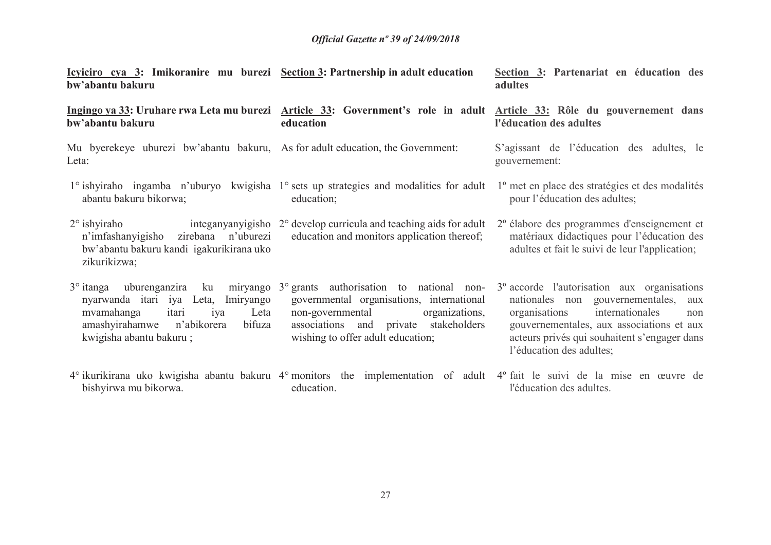| <u>Icyiciro cya 3:</u> Imikoranire mu burezi <u>Section 3:</u> Partnership in adult education<br>bw'abantu bakuru                                                                                   |                                                                                                                                                                                                           | Section 3: Partenariat en éducation des<br>adultes                                                                                                                                                                                                                     |
|-----------------------------------------------------------------------------------------------------------------------------------------------------------------------------------------------------|-----------------------------------------------------------------------------------------------------------------------------------------------------------------------------------------------------------|------------------------------------------------------------------------------------------------------------------------------------------------------------------------------------------------------------------------------------------------------------------------|
| bw'abantu bakuru                                                                                                                                                                                    | education                                                                                                                                                                                                 | Ingingo ya 33: Uruhare rwa Leta mu burezi Article 33: Government's role in adult Article 33: Rôle du gouvernement dans<br>l'éducation des adultes                                                                                                                      |
| Mu byerekeye uburezi bw'abantu bakuru, As for adult education, the Government:<br>Leta:                                                                                                             |                                                                                                                                                                                                           | S'agissant de l'éducation des adultes, le<br>gouvernement:                                                                                                                                                                                                             |
| abantu bakuru bikorwa;                                                                                                                                                                              | 1° ishyiraho ingamba n'uburyo kwigisha 1° sets up strategies and modalities for adult<br>education;                                                                                                       | 1 <sup>°</sup> met en place des stratégies et des modalités<br>pour l'éducation des adultes;                                                                                                                                                                           |
| $2^\circ$ ishyiraho<br>n'imfashanyigisho zirebana n'uburezi<br>bw'abantu bakuru kandi igakurikirana uko<br>zikurikizwa;                                                                             | integanyanyigisho 2° develop curricula and teaching aids for adult<br>education and monitors application thereof;                                                                                         | 2º élabore des programmes d'enseignement et<br>matériaux didactiques pour l'éducation des<br>adultes et fait le suivi de leur l'application;                                                                                                                           |
| $3^\circ$ itanga<br>uburenganzira ku<br>miryango<br>nyarwanda itari iya Leta,<br>Imiryango<br>itari<br>mvamahanga<br>Leta<br>iya<br>amashyirahamwe n'abikorera<br>bifuza<br>kwigisha abantu bakuru; | 3° grants authorisation to national non-<br>governmental organisations, international<br>organizations,<br>non-governmental<br>associations and private stakeholders<br>wishing to offer adult education; | 3 <sup>°</sup> accorde l'autorisation aux organisations<br>nationales non gouvernementales,<br>aux<br>internationales<br>organisations<br>non<br>gouvernementales, aux associations et aux<br>acteurs privés qui souhaitent s'engager dans<br>l'éducation des adultes; |
| bishyirwa mu bikorwa.                                                                                                                                                                               | education.                                                                                                                                                                                                | 4° ikurikirana uko kwigisha abantu bakuru 4° monitors the implementation of adult 4° fait le suivi de la mise en œuvre de<br>l'éducation des adultes.                                                                                                                  |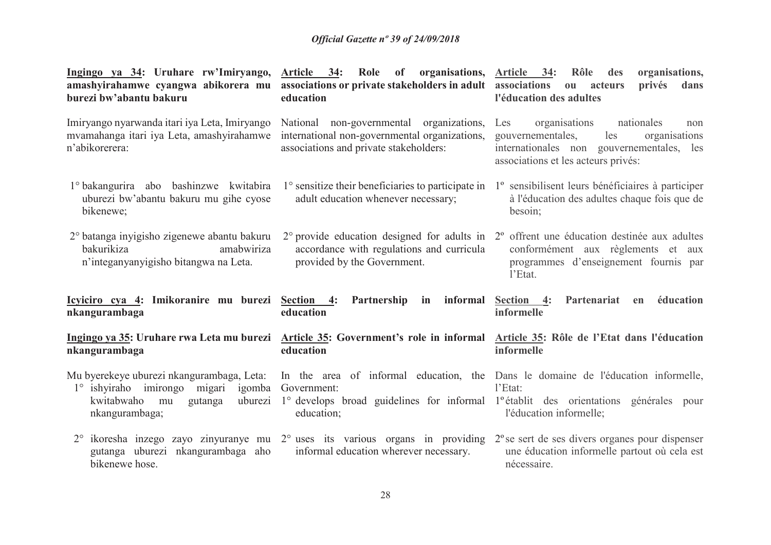| <u>Ingingo ya 34</u> : Uruhare rw'Imiryango,<br>amashyirahamwe cyangwa abikorera mu<br>burezi bw'abantu bakuru                                  | Article 34:<br>Role of organisations, Article 34:<br>associations or private stakeholders in adult associations<br>education        | Rôle des<br>organisations,<br>privés<br>dans<br>$\mathbf{0}\mathbf{u}$<br>acteurs<br>l'éducation des adultes                                                                                                            |
|-------------------------------------------------------------------------------------------------------------------------------------------------|-------------------------------------------------------------------------------------------------------------------------------------|-------------------------------------------------------------------------------------------------------------------------------------------------------------------------------------------------------------------------|
| Imiryango nyarwanda itari iya Leta, Imiryango<br>mvamahanga itari iya Leta, amashyirahamwe<br>n'abikorerera:                                    | National non-governmental organizations,<br>international non-governmental organizations,<br>associations and private stakeholders: | organisations<br>Les<br>nationales<br>non<br>gouvernementales,<br>les<br>organisations<br>internationales non gouvernementales, les<br>associations et les acteurs privés:                                              |
| 1° bakangurira abo bashinzwe kwitabira<br>uburezi bw'abantu bakuru mu gihe cyose<br>bikenewe;                                                   | 1° sensitize their beneficiaries to participate in<br>adult education whenever necessary;                                           | 1 <sup>°</sup> sensibilisent leurs bénéficiaires à participer<br>à l'éducation des adultes chaque fois que de<br>besoin;                                                                                                |
| 2° batanga inyigisho zigenewe abantu bakuru<br>bakurikiza<br>amabwiriza<br>n'integanyanyigisho bitangwa na Leta.                                | accordance with regulations and curricula<br>provided by the Government.                                                            | $2^{\circ}$ provide education designed for adults in $2^{\circ}$ offrent une éducation destinée aux adultes<br>conformément aux règlements et aux<br>programmes d'enseignement fournis par<br>l'Etat.                   |
| <u>Icyiciro cya 4:</u> Imikoranire mu burezi <u>Section 4</u> : Partnership in<br>nkangurambaga                                                 | informal<br>education                                                                                                               | éducation<br>Section 4:<br>Partenariat<br>en<br>informelle                                                                                                                                                              |
| nkangurambaga                                                                                                                                   | Ingingo ya 35: Uruhare rwa Leta mu burezi Article 35: Government's role in informal<br>education                                    | Article 35: Rôle de l'Etat dans l'éducation<br>informelle                                                                                                                                                               |
| Mu byerekeye uburezi nkangurambaga, Leta:<br>1° ishyiraho imirongo migari<br>igomba<br>kwitabwaho<br>uburezi<br>mu<br>gutanga<br>nkangurambaga; | Government:<br>education;                                                                                                           | In the area of informal education, the Dans le domaine de l'éducation informelle,<br>l'Etat:<br>1° develops broad guidelines for informal 1° établit des orientations générales pour<br>l'éducation informelle;         |
| gutanga uburezi nkangurambaga aho<br>bikenewe hose.                                                                                             | informal education wherever necessary.                                                                                              | $2^{\circ}$ ikoresha inzego zayo zinyuranye mu $2^{\circ}$ uses its various organs in providing $2^{\circ}$ se sert de ses divers organes pour dispenser<br>une éducation informelle partout où cela est<br>nécessaire. |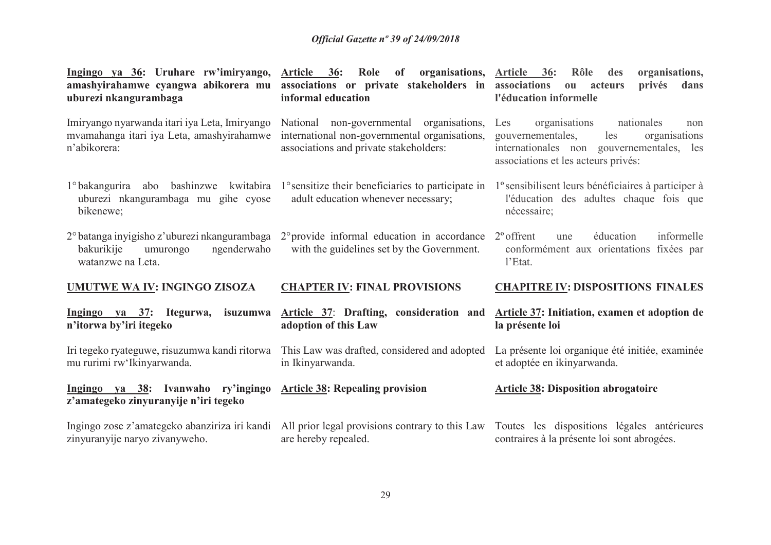| <u>Ingingo ya 36</u> : Uruhare rw'imiryango,<br>amashyirahamwe cyangwa abikorera mu<br>uburezi nkangurambaga                                                             | Article 36: Role of organisations, Article 36:<br>associations or private stakeholders in<br>informal education                        | Rôle<br>des<br>organisations,<br>associations<br>privés<br>acteurs<br>dans<br>0 <sup>u</sup><br>l'éducation informelle                                                     |
|--------------------------------------------------------------------------------------------------------------------------------------------------------------------------|----------------------------------------------------------------------------------------------------------------------------------------|----------------------------------------------------------------------------------------------------------------------------------------------------------------------------|
| Imiryango nyarwanda itari iya Leta, Imiryango<br>mvamahanga itari iya Leta, amashyirahamwe<br>n'abikorera:                                                               | National non-governmental<br>organisations,<br>international non-governmental organisations,<br>associations and private stakeholders: | organisations<br>nationales<br>Les<br>non<br>gouvernementales,<br>les<br>organisations<br>internationales non gouvernementales, les<br>associations et les acteurs privés: |
| uburezi nkangurambaga mu gihe cyose<br>bikenewe;                                                                                                                         | 1° bakangurira abo bashinzwe kwitabira 1° sensitize their beneficiaries to participate in<br>adult education whenever necessary;       | l'esensibilisent leurs bénéficiaires à participer à<br>l'éducation des adultes chaque fois que<br>nécessaire;                                                              |
| $2^{\circ}$ batanga inyigisho z'uburezi nkangurambaga $2^{\circ}$ provide informal education in accordance<br>bakurikije<br>ngenderwaho<br>umurongo<br>watanzwe na Leta. | with the guidelines set by the Government.                                                                                             | informelle<br>$2^{\circ}$ offrent<br>éducation<br>une<br>conformément aux orientations fixées par<br>l'Etat.                                                               |
| <b>UMUTWE WA IV: INGINGO ZISOZA</b>                                                                                                                                      | <b>CHAPTER IV: FINAL PROVISIONS</b>                                                                                                    | <b>CHAPITRE IV: DISPOSITIONS FINALES</b>                                                                                                                                   |
| Ingingo ya 37: Itegurwa,<br>isuzumwa<br>n'itorwa by'iri itegeko                                                                                                          | Article 37: Drafting, consideration and<br>adoption of this Law                                                                        | Article 37: Initiation, examen et adoption de<br>la présente loi                                                                                                           |
| Iri tegeko ryateguwe, risuzumwa kandi ritorwa<br>mu rurimi rw'Ikinyarwanda.                                                                                              | This Law was drafted, considered and adopted<br>in Ikinyarwanda.                                                                       | La présente loi organique été initiée, examinée<br>et adoptée en ikinyarwanda.                                                                                             |
|                                                                                                                                                                          |                                                                                                                                        |                                                                                                                                                                            |
| Ingingo ya 38: Ivanwaho ry'ingingo<br>z'amategeko zinyuranyije n'iri tegeko                                                                                              | <b>Article 38: Repealing provision</b>                                                                                                 | <b>Article 38: Disposition abrogatoire</b>                                                                                                                                 |